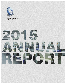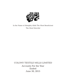

## In the Name of Almighty Allah The Most Beneficient The Most Merciful

# COLONY TEXTILE MILLS LIMITED Accounts For the Year Ended June 30, 2015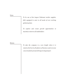Vision

*To be one of the largest Pakistani textiles supplier, fully equipped to cater to all needs of ever evolving global markets.*

*To explore and create growth opportunities to maximize return to all stakeholders.*

**Mission** 

*To take the company to a new height where it is rated as the best in all spheres of business and everyone concerned feels proud of being its integral part.*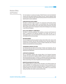## Business Ethics and Practices

Our Core business is to produce and supply of Textile Products to local and international customers with best quality standards and efficient services. Customer satisfaction being our top priority, we follow the under mentioned business practices for the achievement of the desired results of customer satisfaction.

#### **HUMAN RESOURCE DEVELOPMENT**

We believe in individual respect and growth. Our employment and HR policies develop individuals without race, religion, gender or any discrimination factor. We provide equal opportunities to all the employees under a team based working environment. We provide all the possible support to all our employees to enhance their knowledge and vision keeping in view of their own limitations.

#### **SOCIALAND COMMUNITY COMMITMENTS**

We believe in community development. We contribute our resources, both financial and ethical, in supporting all the deserving individuals of the society. We feel it is our responsibility to play our role in the development of the society and do maximum within our own limitations for the community at large.

#### **RISK MANAGEMENT**

Our risk management policies are geared to enhance share holders worth, improve credit worthiness and minimize credit risk while diversifying income, along with suppliers and customers base. We strongly believe in having an excellent relationship with our financial institutions as we take them as our business partners.

#### **TRANSPARENT FINANCIAL POLICIES**

Our financial polices are based on the principal of fairness and transparency. We are following all the applicable laws and best accounting practices while preparing the financial statements for the stakeholders.

#### **CORPORATE GOVERNANCE**

We as a responsible corporate citizen strongly adhere to the Corporate Governance principles and comply with the regulatory obligations enforced by regulatory agencies for improving corporate performance. We believe in up rightness of performance and expect it to be a fundamental responsibility of our employees to act in the best interest of the company without compromising on the rules and regulations enforced by the regulators.

#### **MARKETING AND INDUSTRY PRACTICES**

All our marketing polices are customer focused. We believe in One Window Solution and customer satisfaction. Our marketing policy is only based on these two parameters and to achieve this we ensure best quality and efficient response to customers. As a long term marketing strategy we are focusing on diversification, value addition of our products while making a close liaison with markets, customers and their needs.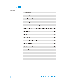## **Contents**

| Company Information                                                        | 5              |
|----------------------------------------------------------------------------|----------------|
| Notice of Annual General Meeting                                           | $\overline{7}$ |
| Directors' Report to the Members                                           | 9              |
| <b>Financial Highlights</b>                                                | 14             |
| Statement of Compliance with Code of Corporate Governance                  | 15             |
| Review Report on Statement of Compliance with Code of Corporate Governance | 17             |
| Auditors' Report                                                           | 18             |
| <b>Balance Sheet</b>                                                       | 20             |
| Profit & Loss Account                                                      | 22             |
| Statement of Comprehensive Income                                          | 23             |
| <b>Cash Flow Statement</b>                                                 | 24             |
| Statement of Changes in Equity                                             | 25             |
| Notes to the Accounts                                                      | 26             |
| Pattern of Shareholding                                                    | 67             |
| Pattern of Shareholding Under Code of Corporate Governance                 | 70             |
| Form of Proxy                                                              | 71             |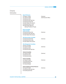### **Company** Information

| <b>Board Of Directors</b><br>Mr. Mughis A. Sheikh<br>Mr. Fareed M. Sheikh<br>Mr. Muhammad Tariq<br>Mr. Muhammad Atta ullah Khan<br>Mr. Muhammad Ashraf Saif<br>Mr. Abdul Hakeem Khan Qasuria<br>Mr. Muhammad Ikram ul Haq<br>Mir Shahid Waqar Mehmood<br>(Nominee The Bank of Punjab) | (Chairman)<br>(Chief Executive Officer) |
|---------------------------------------------------------------------------------------------------------------------------------------------------------------------------------------------------------------------------------------------------------------------------------------|-----------------------------------------|
| <b>Board Committees</b><br><b>Audit Committee</b><br>Mr. Muhammad Ashraf Saif<br>Mr. Muhammad Atta ullah Khan<br>Mr. Abdul Hakeem Khan Qasuria                                                                                                                                        | (Chairman)                              |
| <b>HR &amp; Remuneration Committee</b><br>Mr. Muhammad Ashraf Saif<br>Mr. Muhammad Ikram ulHaq<br>Mr. Abdul Hakeem Khan Qasuria                                                                                                                                                       | (Chairman)                              |
| <b>Other Management Committees</b><br><b>Executive Committee</b><br>Mr. Fareed M. Sheikh<br>Mr. Muhammad Tariq<br>Mr. Muhammad Atta ullah Khan                                                                                                                                        | (Chairman)                              |
| <b>Technical Committee</b><br>Mr. Fareed M. Sheikh<br>Mr. Muhammad Tariq<br>Mr. Muhammad Azeem                                                                                                                                                                                        | (Chairman)                              |
| <b>Finance Committee</b><br>Mr. Fareed M. Sheikh<br>Mr. Atta Mohyuddin Khan<br>Mr. Bilal Ahmad Khan<br>Mr. Hammad Shakeel                                                                                                                                                             | (Chairman)                              |
| Social Compliance & Human Resource<br>Mr. Fareed M. Sheikh<br>Mr. Muhammad Atta ullah Khan<br>Mr. Atta Mohyuddin Khan                                                                                                                                                                 | (Chairman)                              |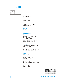### **Company Information**

**Chief Financial Officer** Mr. Atta Mohyuddin Khan

**Company Secretary** Mr. Muhammad Abid

**Auditors** Tariq Abdul Ghani Maqbool & Co. Chartered Accountants

#### **Legal Advisor**

Mrs. Aniqua Riaz Advocate

#### **Registered Address**

M. Ismail Aiwan-e-Science Building 205 Ferozepur Road, Lahore-54600 Phone: 042-35758970-2 Fax : 042-35763247 Email: corporate@colonytextiles.com Website:www.colonytextiles.com

#### **Share Registrar**

Hameed Majeed Associates (Pvt.) Limited HM House, 7 Bank Square Lahore. Phone: (042) 37235081-2, Fax: 042-37358817 Email: shares@hmaconsultants.com

#### **Bankers**

Faysal Bank Limited Habib Bank Limited BankIslami Pakistan Limited Meezan Bank Limited National Bank of Pakistan Soneri Bank Limited Standard Chartered Bank (Pakistan) Limited Silk Bank Limited The Bank of Punjab United Bank Limited Summit Bank Limited

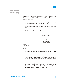### Notice of Annual General Meeting

Notice is hereby given that 5<sup>th</sup> Annual General Meeting of the shareholders of **Colony Textile Mills Limited** will be held on Saturday, October31, 2015 at 10:00 a.m. at the registered office of the company at Ismail Aiwan-e-Science Building, 205-Ferozepur Road, Lahore to transact the following business:

- 1. To receive, consider and adopt the Annual Audited Accounts together with Directors' and Auditors' reports thereon for the year ended June 30, 2015.
- 2. To appoint the auditors and fix their remuneration for the next financial year 2015- 2016.
- 3. Any other business with the permission of Chairman.

By Order of the Board

-- sd -- Muhammad Abid Company Secretary

Multan: October 09, 2015

#### **NOTES:**

- 1. The Share Transfer Books of the Company will remain closed from October 23, 2015 to October 31, 2015 (both days inclusive).
- 2. A member entitled to attend and vote in the meeting may appoint another member as his/her proxy to attend and vote on his/her behalf. The proxy, in order to be effective, must be received at the registered office of the Company duly signed and stamped not later than 48 hours before the meeting.
- 3. The shareholders are requested to bring their Folio / Account details (participant ID and sub-account) and original CNIC for identification purpose at the time of meeting. In case of corporate entity, the Board of Director's Resolution or power of attorney with specimen signatures of the nominee should be produced.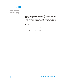## Notice of Annual General Meeting

- 4. Securities and Exchange Commission of Pakistan (SECP) vide its S.R.O. 787(I) / 2014 has facilitated the Companies to circulate Audited Financial Statements and Notices to shareholders through e-mail. The members who intend to receive the Audited Accounts through email are therefore, requested to kindly send their written consent to company (specimen available at Company's website at www.colonytextiles.com).
- 5. Shareholders are requested:
	- a. to notify the change of address immediately, if any.
	- b. to provide the copies of their valid CNIC's if not provided earlier.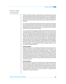On behalf of the Board of Directors, I present before you the annual report of the company along with audited financial statements for the year ended June 30, 2015. In compliance with the Code of Corporate Governance, these financial statements have been endorsed by the Chief Executive Officer and Chief Financial Officer of the company, recommended for approval by the Audit Committee of the Board and approved by the Board of Directors for presentation.

Your company has achieved sales of Rupees 15,957 million as compared to the last year sales of Rupees 22,286 million. The gross profit for the year is Rupees 724 million against previous year's gross profit of Rupees 1,674 million. The bottom line showed a net loss of Rupees 897 million with loss per share of Rupees (1.80) as compared to net loss of Rupees 234 million with loss per share of (0.47) for last year.

The current year proved very challenging and difficult for the textile industry because of local and global recessionary climate affecting all facets of business. Our economy is not coming out of lower GDP growth because of unfavorable business climate. The company had to operate in an increasingly competitive global as well as local environment. Negative factors like suppressed global demand, high energy cost clubbed with excessive load-shedding, volatility in raw material prices, law and order problems together with significant increase in volume of Indian and Chinese yarns and fabric dumped in the local market adversely affected the textile business. Consequently, the optimal utilization of installed capacities in spinning and weaving could not be materialized. To make the matters worse, artificially high Pak Rupee, increase in GST along with long withheld GST refunds, increase in taxes like 0.6% with-holding tax on banking transactions resulted in significant increase in cost of doing business and depressing demand.

#### **SPINNING SEGMENT**

The current financial year was most difficult and frustrating for spinning business because of significant low demand in local and international markets. The major slowdown in the Chinese economy caused huge decrease in international demand. The situation was worsened by cheap Indian and Chinese yarns being dumped unchecked in our local market causing significant losses and immense pressure on local industry to liquidate its inventories at throw away prices. On the other hand, China and India's policy to subsidize its textile manufacturers by giving huge incentives, suppressed the prices in the international market which adversely affected the product rates. The Pakistani government rather than helping the textile industry in this crises further burdened it with direct and indirect taxes which made the situation most critical.

#### **WEAVING SEGMENT**

During current financial year, like the rest of textile industry, the weaving business segment also went through very difficult phase. Sluggish demand of fabrics in both local and international markets resulted in slashing down the prices of weaving products, whereas the conversion cost simply kept on escalating. Buyers were unwilling to place long term orders due to uncertainty and only buy day to day at lower and lower prices. Huge quantities of subsidized fabrics from India and China were also dumped in our domestic market unchecked which made the matters worse.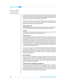Financial year 2014-15 was one of the most testing years for the economy of Pakistan in the recent past. Crippling power and gas shortages, high interest rates, undue strengthening of Pakistani Rupee, precarious security situation and fragile geopolitical environment of our country and region continued to plague the business environment.

Despite the above limitations, textile industry of Pakistan has been playing pivotal role in driving our national economy with significant contribution to the industrial production, employment generation and foreign exchange earnings.

#### **SUB-ORDINATED LOAN**

The Sponsor Directors are truly committed to the wellbeing of the company, interest free loan of Rs. 120 million from an Executive Director still exists to support this financial situation.

#### **DIVIDEND**

Considering the financial results of the company for the year ended June 30, 2015 the management has not recommended any dividend in this year.

#### **FUTURE OUTLOOK**

The continuing global recession and increasing competition from regional players backed by huge subsidies from the Government, increase in GST rates and inflationary pressure is making textile business even worse. Textile industry accounts for 8% of GDP and has paramount position in Pakistan's economy. By reviewing all the factors mentioned above, the future prediction may not be much optimistic in year ahead. However, the consistent and successful growth of textile sector is directly related to the uninterrupted and regionally price competitive power supply, sound textile policies with strong mechanism of implementation and relief in taxes with essential subsidies.

Even though our company is faced with these multifaceted and mounting challenges but we have planned to implement major cost cutting measures across the company and are aligning ourselves to tackle the current market threats. Your company is committed to maintain optimum quality, product diversification, exploring new markets and achieving higher production efficiencies.

#### **AUDIT COMMITTEE**

This is the most prime and effective committee of the Board. It has a vital role in the compliance of internal controls to ensure safeguard of all the interest of the company, through monitoring of internal audit functions, risk management policies. The committee recommends the appointment of the external auditors and also review the critical reporting made by the internal and external auditors.

#### **HUMAN RESOURCE & REMUNERATION COMMITTEE**

The human resource committee determines the compensation packages for all cadres of the company's employees. The committee is also responsible to create and maintain conducive working environment that instill trust and ensure respect, fair treatment, development opportunity and grooming and make succession plans for all employees. We feel that human resource is key element in our business strategy.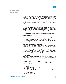#### **EXECUTIVE COMMITTEE**

The executive committee is responsible for setting overall corporate objectives and strategies, identification of opportunities, monitoring the business strategies and plans and there after the successful implementation of those plans. One of the major roles of the committee is to change the management policies and role of the company as required under the changing requirements of local and international customers, keeping in view the strengths and weaknesses of the company, so that the best possible results could be achieved.

#### **TECHNICAL COMMITTEE**

The technical committee acts in an advisory capacity to the CEO, provides recommendation relating to the technical affairs of the company, formulation of technical policies required under the code of corporate governance specially keeping in view the environment protection plans of the Government. It is also responsible for overall factory operations, achievement of desired quality, production targets and efficiency of the mechanical works. This is also empowered to deal with the day to day technical issues under authorized limits.

#### **FINANCE COMMITTEE**

The role of the finance committee is to review and recommend the financial targets, annual and quarterly budgets, approval of the expenditures for amounts with in its limits, investments of the surplus funds of the company and financial policies and controls including the policies required under the code of corporate governance. The committee works under the guidance of CEO.

#### **SOCIAL COMPLIANCE AND HUMAN RESOURCE**

A major factor in your company's success is its highly skilled and motivated workforce. Our strength comes from our people. We can rightly take pride in fact that Human Resources have always been given a high priority. Today, when we look back on past years, we can see that while our objectives may have changed along the way, our human resource policies have always been based on the underlying values of fairness, merit, equal opportunity and social responsibility. These values manifest themselves in our policies of recruitment, performance appraisal, training and development, health and safety and industrial relations.

#### **BOARD MEETINGS**

During the year under review four meetings of the Board of Directors, four meetings of the audit committee and three meetings of human resource & remuneration committee were held. Attendance in the meetings by each director was as under:

| Director's Name               | <b>Board of</b>  | Audit            | HR&              |
|-------------------------------|------------------|------------------|------------------|
|                               | <b>Directors</b> | <b>Committee</b> | <b>Committee</b> |
| Mr. Mughis A. Sheikh          |                  |                  |                  |
| Mr. Fareed M. Sheikh          |                  |                  |                  |
| Mr. Muhammad Tariq            |                  |                  |                  |
| Mr. Muhammad Atta Ullah Khan  |                  |                  | 3                |
| Mr. Muhammad Ashraf Saif      |                  |                  |                  |
| Mr. Abdul Hakeem Khan Qasuria |                  |                  | 3                |
| Mr. Muhammad Ikram ul Haq     |                  |                  | 3                |
| Mr. Asim Jahangir Seth        |                  |                  |                  |
| Mir Shahid Waqar Mehmood      |                  |                  |                  |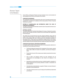Code of Ethics and Business Practices has been developed and are communicated and acknowledged by each Director and employee of the company.

#### **CORPORATE GOVERNANCE**

The management ensures that all requirements of the code of corporate governance were complied with. The statement of compliance with the best practices of Code of Corporate Governance is annexed.

#### **PATTERN OF SHAREHOLDING AND INFORMATION UNDER THE CODE OF CORPORATE GOVERNANCE**

The pattern of shareholding and information under the Code of Corporate Governance as on June 30, 2015 is annexed.

#### **EXTERNAL AUDITOR**

The present auditors M/S Tariq Abdul Ghani Maqbool & Company, Chartered Accountants, retire and audit committee and board of directors have recommended their reappointment for the ensuing year.

The auditors have conveyed that they have been assigned satisfactory rating under the Quality Control Review Program of the Institute of Chartered Accountants of Pakistan and the firm is fully compliant with code of ethics issued by the International Federation of Accountants (IFAC). Further they are not rendering any related services to the company. The auditors have also confirmed that neither the firm nor any of their partners, their spouses and minor children at any time during the year held or traded in the shares of the company.

#### **CORPORATE AND FINANCIAL REPORTING FRAMEWORK**

In compliance with the Code of Corporate Governance, we are giving below statements on Corporate and Financial Reporting Framework.

> The financial statements prepared by the management of the company, presents fairly its state of affairs, the results of its operations, cash flows and changes in equity.

> Proper books of account of the company as per statutory requirements have been maintained.

> Code of Ethics and Business Practice has been developed and are communicated and acknowledged by each director and employee of the company.

> Appropriate accounting policies have been consistently applied in preparation of financial statements and accounting estimates are based on reasonable and prudent judgment.

> International Accounting Standards, as applied in Pakistan, have been followed in preparation of financial statements.

> The system of internal control is sound in design and has effectively implemented and monitored.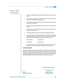## Directors' Report to the Members

There are no significant doubts upon the company's ability to continue as a going concern.

There has been no departure from the best practices of the code of corporate governance, as detailed in the listing regulations.

Key operating and financial data since listing of company at stock exchange is annexed in summarized form.

The directors have not recommended any dividend in view of current financial scenario.

Information about outstanding taxes and other Government levies are given in related note(s) to the accounts.

The annexed audited accounts give the detail of outstanding taxes and levies.

The company operates a contributory provident fund scheme for all employees and defined benefits gratuity fund scheme for its managerial and non managerial staff. The net value of investment in their respective accounts is as under:

| Provident Funds       | Rs. 42.80 million        |
|-----------------------|--------------------------|
| <b>Gratuity Funds</b> | <b>Rs. 22.20 million</b> |

The directors, CEO, CFO, Company Secretary and their spouses and minor children have made no transactions in the company's share during the year.

#### **ACKNOWLEDGEMENT**

We would like to place on record our deep appreciation for the efforts of the executives, officers and other staff members for their hard work, cooperation and sincerity to the company in achieving the best possible results. The board also wishes to record the appreciation to all banks for their continued support to the company. The management is quiet confident that these relations and cooperation will continue in the coming years.

On behalf of the Board of Directors

 $Ru, W$ 

Multan: Fareed M. Sheikh<br>Dated: October 09, 2015 Chief Executive Officer

Dated: October 09, 2015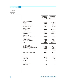## Financial Highlights

|                                           | <b>Year Ended</b><br>June 30, 2015 | Year Ended<br>June 30, 2014 |
|-------------------------------------------|------------------------------------|-----------------------------|
|                                           | (Rupees 000)                       |                             |
|                                           |                                    |                             |
| <b>Operating performance</b><br>Sales-net | 15,957,105                         | 22,285,945                  |
| Gross profit                              | 724,310                            | 1,470,102                   |
| (Loss)/Profit before taxation             | (841, 851)                         | (33, 683)                   |
| (Loss)/Profit after taxation              | (896, 757)                         | (234, 283)                  |
| <b>Financial position</b>                 |                                    |                             |
| Property, plant                           | 19,103,555                         | 18,703,906                  |
| and equipment-net                         |                                    |                             |
| Capital work in progress                  | 687,404                            | 1,319,460                   |
| <b>Fixed assets</b>                       | 19,790,959                         | 20,023,366                  |
| <b>Current assets</b>                     |                                    |                             |
| Stores, spare parts, loose tools          | 5,492,361                          | 5,421,034                   |
| and stock in trade                        |                                    |                             |
| Other current assets                      | 1,422,594                          | 1,825,161                   |
| Cash and cash equivalents                 | 58,271                             | 64,881                      |
| <b>Total assets</b>                       | 6,973,226<br>26,764,185            | 7,311,076<br>27,821,622     |
|                                           |                                    |                             |
| <b>Current liabilities</b>                |                                    |                             |
| Short term bank borrowings                | 4,315,040                          | 4,495,475                   |
| Current portion of long term financing    | 1,021,787                          | 1,705,848                   |
| Other current liabilities                 | 3,302,093<br>8,638,920             | 2,675,167<br>8,876,490      |
|                                           |                                    |                             |
| Number of shares (in thousand)            | 498,010                            | 498,010                     |
|                                           |                                    |                             |
| <b>Ratios</b>                             |                                    |                             |
| Gross profit ratio<br>Net loss ratio      | 4.54%<br>(5.62%)                   | 7.51%<br>$(1.05\%)$         |
| Loss per share                            | (1.80)                             | (0.47)                      |
|                                           |                                    |                             |
| Current ratio                             | 0.81                               | 0.82                        |
| Capital structure ratio                   |                                    |                             |
| Debt to equity                            | 0.51                               | 0.56                        |
|                                           |                                    |                             |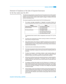## Statement of Compliance of the Code of Corporate Governance for the Year ended June 30, 2015

This statement is being presented to comply with the Code of Corporate Governance (CCG) contained in clause 5.19.23 of the Rule Book of Karachi Stock Exchange Limited for the purpose of establishing a framework of good governance, whereby a listed company is managed in compliance with the best practices of corporate governance.

The company has applied the principles contained in the CCG in the following manner:

1) The company encourages representation of independent non-executive directors and directors representing minority interests on its board of directors. At present the board includes:

| Category                           | <b>Names</b>                    |
|------------------------------------|---------------------------------|
| Independent Non-Executive Director | 1-Mr. Muhammad Ashraf Saif      |
| <b>Executive Directors</b>         | 1-Mr. Fareed M. Sheikh          |
|                                    | 2-Mr. Muhammad Tariq            |
| Non-Executive Directors            | 1-Mr. Mughis A. Sheikh          |
|                                    | 2-Mr. Muhammad Atta Ullah Khan  |
|                                    | 3-Mr. Abdul Hakeem Khan Qasuria |
|                                    | 4-Mr. Muhammad Ikram-UI-Haq     |

The independent director meets the criteria of independence under clause 5.19.1 (b) of the CCG.

- 2) The directors have confirmed that none of them is serving as a director on more than seven listed companies, including this Company.
- 3) All the resident directors of the Company are registered as taxpayers and none of them has defaulted in payment of any loan to a banking company, a development financial institution or a non-banking financial company, or being a member of a stock exchange, has been declared as defaulter by the stock exchange.
- 4) Casual vacancy was occurred during the year and was filled up.
- 5) The Company has prepared a 'Code of Conduct' and has ensured that appropriate steps have been taken to disseminate it throughout the Company along with its supporting policies and procedures.
- 6) The Board has developed a vision/mission statement, overall corporate strategy and significant policies of the Company. A complete record of particulars of significant policies along with the dates on which they were approved or amended has been maintained.
- 7) All the powers of the Board have been duly exercised and decisions on material transactions, including appointment and determination of remuneration and terms and conditions of employment of the CEO, other executive and non-executive directors, have been taken by the board/shareholders.
- 8) The meetings of the Board were presided over by the Chairman and, in his absence, by a director elected by the board for the purpose and the Board met at least once in every quarter. Written notices of the Board meetings, along with agenda and working papers, were circulated at least seven days before the meetings. The minutes of the meetings were appropriately recorded and circulated.
- 9) Internal orientation courses were arranged for the directors and key personnel during the year to equip and familiarize them with the changes in law to discharge their duties efficiently. Two of the directors had got certification in the past years. The company will ensure that remaining directors acquire the certification under the directors training program within the time frame given in the Code.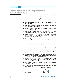## Statement of Compliance of the Code of Corporate Governance for the Year ended June 30, 2015

| 10)     | including their remuneration and terms and conditions of employment. | The Board has approved appointment of CFO, Company Secretary and Head of Internal Audit,                                                                                                                                                                                                                                                                                                                                                                                                      |
|---------|----------------------------------------------------------------------|-----------------------------------------------------------------------------------------------------------------------------------------------------------------------------------------------------------------------------------------------------------------------------------------------------------------------------------------------------------------------------------------------------------------------------------------------------------------------------------------------|
| 11)     | disclosed.                                                           | The Directors' report for this year has been prepared in compliance with the requirement of the<br>Code of Corporate Governance and fully describes the salient matters required to be                                                                                                                                                                                                                                                                                                        |
| 12)     | approval of the Board.                                               | The financial statements of the Company were duly endorsed by CEO and CFO before                                                                                                                                                                                                                                                                                                                                                                                                              |
| 13)     | than those disclosed in the pattern of shareholding.                 | The directors, CEO and executives do not hold any interest in the shares of the Company other                                                                                                                                                                                                                                                                                                                                                                                                 |
| (14)    | Code of Corporate Governance.                                        | The company has complied with all the corporate and financial reporting requirements of the                                                                                                                                                                                                                                                                                                                                                                                                   |
| 15)     |                                                                      | The Board has formed an Audit Committee. It comprises three members, of whom all are the<br>non-executive directors and the chairman of the committee is an independent director.                                                                                                                                                                                                                                                                                                             |
| 16)     | formed and advised to the committee for compliance.                  | The meetings of the audit committee were held prior to approval of final and interim results of<br>the Company and as required by the CCG. The terms of reference of the committee have been                                                                                                                                                                                                                                                                                                  |
| 17)     | director.                                                            | The Board has formed an HR and Remuneration Committee. It comprises three members, of<br>whom all are Non-Executive Directors and the chairman of the committee is an independent                                                                                                                                                                                                                                                                                                             |
| 18)     | conversant with the policies and procedures of the Company.          | The Board has set up an effective internal audit function with competent team members lead by<br>Internal Auditor who are considered suitably qualified and experienced for the purpose and are                                                                                                                                                                                                                                                                                               |
| 19)     | the Institute of Chartered Accountants of Pakistan.                  | The statutory auditors of the company have confirmed that they have been given a satisfactory<br>rating under the Quality Control Review Program of the Institute of Chartered Accountants of<br>Pakistan, that they or any of the partners of the firm, their spouses and minor children do not<br>hold shares of the Company and that the firm and all its partners are in compliance with<br>International Federation of Accountants (IFAC) guidelines on the code of ethics as adopted by |
| 20)     | confirmed that they have observed IFAC guidelines in this regard.    | The statutory auditors or the persons associated with them have not been appointed to provide<br>other services except in accordance with the listing regulations and the auditors have                                                                                                                                                                                                                                                                                                       |
| 21)     | intimated to directors and stock exchange.                           | The 'closed period', prior to the announcement of interim/final results, and business decisions,<br>which may materially affect the market price of Company's security, was determined and                                                                                                                                                                                                                                                                                                    |
| 22)     | once through stock exchange.                                         | Material/price sensitive information has been disseminated among all market participants at                                                                                                                                                                                                                                                                                                                                                                                                   |
| 23)     | have been complied with.                                             | We confirm that all other material principles enshrined in the Code of Corporate Governance                                                                                                                                                                                                                                                                                                                                                                                                   |
|         |                                                                      | On behalf of the Board of Directors                                                                                                                                                                                                                                                                                                                                                                                                                                                           |
|         |                                                                      | رالكسدامن                                                                                                                                                                                                                                                                                                                                                                                                                                                                                     |
| Multan: |                                                                      | Fareed M. Sheikh                                                                                                                                                                                                                                                                                                                                                                                                                                                                              |
|         | Dated: October 09, 2015                                              | <b>Chief Executive Officer</b>                                                                                                                                                                                                                                                                                                                                                                                                                                                                |
|         |                                                                      |                                                                                                                                                                                                                                                                                                                                                                                                                                                                                               |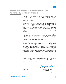### Review Report to the Members on Statement of Compliance with the Best Practices of Code of Corporate Governance

We have reviewed the enclosed statement of compliance with the best practices contained in the Code of Corporate Governance as applicable to the company for the year ended 30 June 2015 prepared by the Board of Directors of **Colony Textile Mills Limited** ("the Company") to comply with the Listing Regulations of the respective Stock Exchanges, where the Company is listed.

The responsibility for the compliance with the Code of Corporate Governance is that of the Board of Directors of the company. Our responsibility is to review, to the extent where such compliance can be objectively verified, whether the statement of compliance reflects the status of the company's compliance with the provisions of the Code of Corporate Governance and report if it does not. A review is limited primarily to inquiries of the company's personnel and review of various documents prepared by the company to comply with the Code.

As part of our audit of financial statements we are required to obtain an understanding of the accounting and internal control system sufficient to plan the audit and develop an effective audit approach. We have not carried out any special review of the internal control system to enable us to express an opinion as to whether the Board's statement on internal control covers all controls and the effectiveness of such internal controls.

Further, the Listing Regulations notified by the Karachi, Lahore and Islamabad Stock Exchanges require the company to place before the Board of Directors for their consideration and approval related party transactions distinguishing between transactions carried out on terms equivalent to those that prevail in arm's length transactions and transactions which are not executed at arm's length price recording proper justification for using such alternate pricing mechanism. Further, all such compliance of requirement to the extent of approval of related party transactions by the Board of Directors and placement of such transactions before the Audit Committee. We have not carried out any procedures to determine whether the related party transactions were undertaken at arm's length price or not.

Based on our review, nothing has come to our attention which causes us to believe that the statement of compliance does not appropriately reflect the Company's compliance, in all material respects, with the best practices contained in the Code of Corporate Governance as applicable to the company for the year ended 30 June 2015.

Tany prun khai Mashir) 4

Lahore: Tariq Abdul Ghani Maqbool and Company October 09, 2015 Chartered Accountants **Shahid Mehmood**  (Engagement Partner)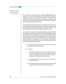### Auditors' Report to the Members

We have audited the annexed Balance Sheet of **Colony Textile Mills Limited** ("the company") as at 30 June 2015 and the related Profit and Loss Account, Statement of Comprehensive Income, Cash Flow Statement and Statement of Changes in Equity together with the notes forming part thereof, for the year then ended and we state that we have obtained all the information and explanations which, to the best of our knowledge and belief, were necessary for the purposes of our audit.

It is the responsibility of the company's management to establish and maintain a system of internal control, and prepare and present the above said statements in conformity with the approved accounting standards and the requirements of the Companies Ordinance, 1984. Our responsibility is to express an opinion on these statements based on our audit.

We conducted our audit in accordance with the auditing standards as applicable in Pakistan. These standards require that we plan and perform the audit to obtain reasonable assurance about whether the above said statements are free of any material misstatement. An audit includes examining on a test basis, evidence supporting the amounts and disclosures in the above said statements. An audit also includes assessing the accounting policies and significant estimates made by management, as well as, evaluating the overall presentation of the above said statements. We believe that our audit provides a reasonable basis for our opinion and, after due verification, we report that:

- (a) in our opinion, proper books of accounts have been kept by the company as required by the Companies Ordinance, 1984;
- (b) in our opinion:
	- (i) the balance sheet and profit and loss account together with the notes thereon have been drawn up in conformity with the Companies Ordinance, 1984, and are in agreement with the books of account and are further in accordance with accounting policies consistently applied;
	- (ii) the expenditure incurred during the year was for the purpose of the company's business; and
	- (iii) the business conducted, investments made and the expenditure incurred during the year were in accordance with the objects of the company;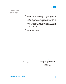### Auditors' Report to the Members

- (c) in our opinion and to the best of our information and according to the explanations given to us, the balance sheet, profit and loss account, statement of comprehensive income, cash flow statement and statement of changes in equity together with the notes forming part thereof conform with the approved accounting standards as applicable in Pakistan, and, give the information required by the Companies Ordinance, 1984, in the manner so required and respectively give a true and fair view of the state of the Company's affairs as at 30 June 2015 and of the loss, total comprehensive income, its cash flows and changes in equity for the year then ended; and
- (d) in our opinion, no Zakat was deductible at source under the Zakat and Usher Ordinance, 1980 (XVIII of 1980).

Tany Mun Ghari Marpin er

Lahore: Tariq Abdul Ghani Maqbool and Company October 09, 2015 Chartered Accountants **Shahid Mehmood** (Engagement Partner)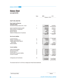## Balance Sheet

as at June 30, 2015

| (Rupees in "000")<br>.<br><b>EQUITY AND LIABILITIES</b><br><b>Share Capital and Reserves</b><br><b>Authorised capital</b><br>530,000,000 Ordinary shares of Rs. 10 each<br>$\overline{7}$<br>5,300,000<br>5,300,000<br>8<br>4,980,100<br>4,980,100<br>Issued, subscribed and paid up capital<br>Reserve arising on amalgamation<br>3,156,388<br>3,156,388<br><b>General Reserves</b><br>4,702<br>4,702<br>1,422,468<br>Revenue reserves<br>525,711<br>Surplus on remeasurement of investments<br>536<br>612<br>8,667,437<br>9,564,270<br><b>Non-Current Liabilities</b><br>9<br>7,758,181<br>7,341,006<br>Long term financing<br>Directors' subordinated loan<br>120,000<br>10<br>120,000<br>Liabilities against assets subject to<br>finance lease<br>11<br>37,513<br>50,581<br>12<br>Deferred liabilities<br>2,270,850<br>2,162,505<br>10,186,544<br>9,674,092<br><b>Current Liabilities</b><br>1,965,358<br>1,499,618<br>13<br>Trade and other payables<br>4,315,040<br>Short term borrowings<br>14<br>4,495,475<br>Accrued mark up<br>15<br>1,172,999<br>948,806<br>Current portion of long term liabilities<br>16<br>1,021,787<br>1,705,848<br>Provision for taxation<br>17<br>163,736<br>226,743<br>8,876,490<br>8,638,920<br><b>Contingencies and Commitments</b><br>18<br>27,492,901<br>28,114,852 | <b>Notes</b> | 2015 | 2014 |
|------------------------------------------------------------------------------------------------------------------------------------------------------------------------------------------------------------------------------------------------------------------------------------------------------------------------------------------------------------------------------------------------------------------------------------------------------------------------------------------------------------------------------------------------------------------------------------------------------------------------------------------------------------------------------------------------------------------------------------------------------------------------------------------------------------------------------------------------------------------------------------------------------------------------------------------------------------------------------------------------------------------------------------------------------------------------------------------------------------------------------------------------------------------------------------------------------------------------------------------------------------------------------------------------------------|--------------|------|------|
|                                                                                                                                                                                                                                                                                                                                                                                                                                                                                                                                                                                                                                                                                                                                                                                                                                                                                                                                                                                                                                                                                                                                                                                                                                                                                                            |              |      |      |
|                                                                                                                                                                                                                                                                                                                                                                                                                                                                                                                                                                                                                                                                                                                                                                                                                                                                                                                                                                                                                                                                                                                                                                                                                                                                                                            |              |      |      |
|                                                                                                                                                                                                                                                                                                                                                                                                                                                                                                                                                                                                                                                                                                                                                                                                                                                                                                                                                                                                                                                                                                                                                                                                                                                                                                            |              |      |      |
|                                                                                                                                                                                                                                                                                                                                                                                                                                                                                                                                                                                                                                                                                                                                                                                                                                                                                                                                                                                                                                                                                                                                                                                                                                                                                                            |              |      |      |
|                                                                                                                                                                                                                                                                                                                                                                                                                                                                                                                                                                                                                                                                                                                                                                                                                                                                                                                                                                                                                                                                                                                                                                                                                                                                                                            |              |      |      |
|                                                                                                                                                                                                                                                                                                                                                                                                                                                                                                                                                                                                                                                                                                                                                                                                                                                                                                                                                                                                                                                                                                                                                                                                                                                                                                            |              |      |      |
|                                                                                                                                                                                                                                                                                                                                                                                                                                                                                                                                                                                                                                                                                                                                                                                                                                                                                                                                                                                                                                                                                                                                                                                                                                                                                                            |              |      |      |
|                                                                                                                                                                                                                                                                                                                                                                                                                                                                                                                                                                                                                                                                                                                                                                                                                                                                                                                                                                                                                                                                                                                                                                                                                                                                                                            |              |      |      |
|                                                                                                                                                                                                                                                                                                                                                                                                                                                                                                                                                                                                                                                                                                                                                                                                                                                                                                                                                                                                                                                                                                                                                                                                                                                                                                            |              |      |      |
|                                                                                                                                                                                                                                                                                                                                                                                                                                                                                                                                                                                                                                                                                                                                                                                                                                                                                                                                                                                                                                                                                                                                                                                                                                                                                                            |              |      |      |
|                                                                                                                                                                                                                                                                                                                                                                                                                                                                                                                                                                                                                                                                                                                                                                                                                                                                                                                                                                                                                                                                                                                                                                                                                                                                                                            |              |      |      |
|                                                                                                                                                                                                                                                                                                                                                                                                                                                                                                                                                                                                                                                                                                                                                                                                                                                                                                                                                                                                                                                                                                                                                                                                                                                                                                            |              |      |      |
|                                                                                                                                                                                                                                                                                                                                                                                                                                                                                                                                                                                                                                                                                                                                                                                                                                                                                                                                                                                                                                                                                                                                                                                                                                                                                                            |              |      |      |
|                                                                                                                                                                                                                                                                                                                                                                                                                                                                                                                                                                                                                                                                                                                                                                                                                                                                                                                                                                                                                                                                                                                                                                                                                                                                                                            |              |      |      |
|                                                                                                                                                                                                                                                                                                                                                                                                                                                                                                                                                                                                                                                                                                                                                                                                                                                                                                                                                                                                                                                                                                                                                                                                                                                                                                            |              |      |      |
|                                                                                                                                                                                                                                                                                                                                                                                                                                                                                                                                                                                                                                                                                                                                                                                                                                                                                                                                                                                                                                                                                                                                                                                                                                                                                                            |              |      |      |
|                                                                                                                                                                                                                                                                                                                                                                                                                                                                                                                                                                                                                                                                                                                                                                                                                                                                                                                                                                                                                                                                                                                                                                                                                                                                                                            |              |      |      |
|                                                                                                                                                                                                                                                                                                                                                                                                                                                                                                                                                                                                                                                                                                                                                                                                                                                                                                                                                                                                                                                                                                                                                                                                                                                                                                            |              |      |      |
|                                                                                                                                                                                                                                                                                                                                                                                                                                                                                                                                                                                                                                                                                                                                                                                                                                                                                                                                                                                                                                                                                                                                                                                                                                                                                                            |              |      |      |
|                                                                                                                                                                                                                                                                                                                                                                                                                                                                                                                                                                                                                                                                                                                                                                                                                                                                                                                                                                                                                                                                                                                                                                                                                                                                                                            |              |      |      |
|                                                                                                                                                                                                                                                                                                                                                                                                                                                                                                                                                                                                                                                                                                                                                                                                                                                                                                                                                                                                                                                                                                                                                                                                                                                                                                            |              |      |      |
|                                                                                                                                                                                                                                                                                                                                                                                                                                                                                                                                                                                                                                                                                                                                                                                                                                                                                                                                                                                                                                                                                                                                                                                                                                                                                                            |              |      |      |
|                                                                                                                                                                                                                                                                                                                                                                                                                                                                                                                                                                                                                                                                                                                                                                                                                                                                                                                                                                                                                                                                                                                                                                                                                                                                                                            |              |      |      |
|                                                                                                                                                                                                                                                                                                                                                                                                                                                                                                                                                                                                                                                                                                                                                                                                                                                                                                                                                                                                                                                                                                                                                                                                                                                                                                            |              |      |      |
|                                                                                                                                                                                                                                                                                                                                                                                                                                                                                                                                                                                                                                                                                                                                                                                                                                                                                                                                                                                                                                                                                                                                                                                                                                                                                                            |              |      |      |
|                                                                                                                                                                                                                                                                                                                                                                                                                                                                                                                                                                                                                                                                                                                                                                                                                                                                                                                                                                                                                                                                                                                                                                                                                                                                                                            |              |      |      |
|                                                                                                                                                                                                                                                                                                                                                                                                                                                                                                                                                                                                                                                                                                                                                                                                                                                                                                                                                                                                                                                                                                                                                                                                                                                                                                            |              |      |      |

The annexed notes from 01 to 50 form an integral part of these financial statements.

\_\_\_\_\_\_\_\_\_\_\_\_\_\_\_\_\_\_\_\_ Chief Financial Officer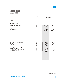# Balance Sheet

as at June 30, 2015

|                                                                                                                                                                                                                                    | Notes                                        | 2015                                                                                         | 2014                                                                                         |
|------------------------------------------------------------------------------------------------------------------------------------------------------------------------------------------------------------------------------------|----------------------------------------------|----------------------------------------------------------------------------------------------|----------------------------------------------------------------------------------------------|
|                                                                                                                                                                                                                                    |                                              |                                                                                              |                                                                                              |
|                                                                                                                                                                                                                                    |                                              |                                                                                              |                                                                                              |
| <b>ASSETS</b>                                                                                                                                                                                                                      |                                              |                                                                                              |                                                                                              |
| <b>Non-Current Assets</b>                                                                                                                                                                                                          |                                              |                                                                                              |                                                                                              |
| Property, plant and equipment<br>Investment property<br>Long term investments<br>Long term deposits                                                                                                                                | 19<br>20<br>21                               | 19,790,959<br>431,615<br>247,451<br>49,650<br>20,519,675                                     | 20,023,366<br>431,615<br>290,602<br>58,193<br>20,803,776                                     |
| <b>Current Assets</b>                                                                                                                                                                                                              |                                              |                                                                                              |                                                                                              |
| Stores, spare parts and loose tools<br>Stock in trade<br>Trade debts<br>Loans and advances<br>Trade deposits and short term prepayments<br>Other financial assets<br>Tax refunds due from the Government<br>Cash and bank balances | 22<br>23<br>24<br>25<br>26<br>27<br>28<br>29 | 253,974<br>5,238,387<br>515,678<br>190,928<br>92,260<br>33<br>623,695<br>58,271<br>6,973,226 | 241,547<br>5,179,487<br>997,097<br>184,950<br>79,445<br>30<br>563,639<br>64,881<br>7,311,076 |
|                                                                                                                                                                                                                                    |                                              | 27,492,901                                                                                   | 28, 114, 852                                                                                 |

\_\_\_\_\_\_\_\_\_\_\_\_\_\_\_\_\_\_\_\_ Chief Executive Officer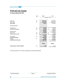## Profit and Loss Account

For the year ended June 30, 2015

|                                    | <b>Notes</b> | 2015                  | 2014                    |
|------------------------------------|--------------|-----------------------|-------------------------|
|                                    |              |                       |                         |
|                                    |              |                       |                         |
|                                    |              |                       |                         |
| Sales - net<br>Cost of sales       | 30<br>31     | 15,957,105            | 22,285,945              |
| <b>Gross profit</b>                |              | 15,232,795<br>724,310 | 20,611,783<br>1,674,162 |
|                                    |              |                       |                         |
| Operating expenses:                |              |                       |                         |
|                                    |              |                       |                         |
| Distribution cost                  | 32           | 250,408               | 315,436                 |
| Administrative expenses            | 33           | 212,433               | 220,010                 |
|                                    |              | 462,841               | 535,446                 |
| Operating profit                   |              | 261,469               | 1,138,716               |
| Finance cost                       | 34           | 1,150,368             | 1,474,062               |
| Other operating charges            | 35           |                       | 15,000                  |
|                                    |              | 1,150,368             | 1,489,062               |
| Other income                       | 36           | 47,048                | 316,663                 |
| Loss before taxation               |              | (841, 851)            | (33, 683)               |
| Taxation                           | 37           | 54,906                | 200,600                 |
| Loss after tax for the year        |              | (896, 757)            | (234,283)               |
|                                    |              |                       |                         |
|                                    |              |                       |                         |
|                                    |              | <b>Rupees</b>         | <b>Rupees</b>           |
| Loss per share - basic and diluted | 38           | (1.80)                | (0.47)                  |
|                                    |              |                       |                         |

The annexed notes from 01 to 50 form an integral part of these financial statements.

\_\_\_\_\_\_\_\_\_\_\_\_\_\_\_\_\_\_\_\_ Chief Financial Officer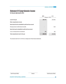# Statement Of Comprehensive Income

For the year ended June 30, 2015

|                                                                 | 2015       | 2014                  |
|-----------------------------------------------------------------|------------|-----------------------|
|                                                                 |            | (Rupees in "000")<br> |
| Loss for the year                                               | (896, 757) | (234, 283)            |
| Other comprehensive income:                                     |            |                       |
| Items that will not be reclassified to profit and loss account: |            |                       |
| Remeasurement of staff retirement benefits                      |            | 1,426                 |
| Items that may be reclassified to profit and loss account:      |            |                       |
| Loss on remeasurement of investments                            | (76)       | (25)                  |
| Total comprehensive loss for the year                           | (896, 833) | (232, 882)            |

The annexed notes from 01 to 50 form an integral part of these financial statements.

\_\_\_\_\_\_\_\_\_\_\_\_\_\_\_\_\_\_\_\_ Chief Financial Officer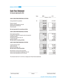## Cash Flow Statement

For the year ended June 30, 2015

|                                                         | <b>Notes</b> | 2015       | 2014              |
|---------------------------------------------------------|--------------|------------|-------------------|
|                                                         |              |            | (Rupees in "000") |
| <b>CASH FLOWS FROM OPERATING ACTIVITIES</b>             |              |            |                   |
|                                                         |              |            |                   |
| Cash generated from operations                          | 48           | 2,021,115  | 2,510,556         |
| Finance cost paid                                       |              | (788, 185) | (620, 144)        |
| Workers' profit participation fund paid                 |              |            | (15, 895)         |
| Staff retirement benefits paid                          |              | (53, 636)  | (46, 466)         |
| Income tax paid                                         |              | (128, 415) | (199, 865)        |
|                                                         |              | (970, 236) | (882, 370)        |
| Net cash generated from operating activities            |              | 1,050,879  | 1,628,186         |
|                                                         |              |            |                   |
| <b>CASH FLOWS FROM INVESTING ACTIVITIES</b>             |              |            |                   |
| Fixed capital expenditure                               |              | (606, 773) | (957, 056)        |
| Proceeds from disposal of property, plant and equipment |              | 1,130      | 7,139             |
| Investment property                                     |              |            | (23, 480)         |
| Proceeds from long term loan- net                       |              |            | 17,509            |
| Long term deposits                                      |              | 8,543      | (4,802)           |
| Net cash used in investing activities                   |              | (597, 100) | (960, 690)        |
|                                                         |              |            |                   |
| <b>CASH FLOWS FROM FINANCING ACTIVITIES</b>             |              |            |                   |
| Long term finances repaid                               |              | (257, 771) | (672, 286)        |
| Lease rentals paid                                      |              | (22, 183)  | (26, 720)         |
| Short term borrowings - net                             |              | (180, 435) | 11,226            |
| Net cash used in financing activities                   |              | (460, 389) | (687, 780)        |
|                                                         |              |            |                   |
| Net decrease in cash and cash equivalents               |              | (6,610)    | (20, 284)         |
| Cash and cash equivalents at beginning of the year      |              | 64,881     | 85,165            |
| Cash and cash equivalents at end of the year            |              | 58,271     | 64,881            |

The annexed notes from 01 to 50 form an integral part of these financial statements.

\_\_\_\_\_\_\_\_\_\_\_\_\_\_\_\_\_\_\_\_ Chief Financial Officer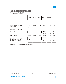# Statement of Changes in Equity

For the year ended June 30, 2015

|                                                                                                                                                                                            |                        |                                            | Revenue reserves           |                                    |                                    |                                           |
|--------------------------------------------------------------------------------------------------------------------------------------------------------------------------------------------|------------------------|--------------------------------------------|----------------------------|------------------------------------|------------------------------------|-------------------------------------------|
|                                                                                                                                                                                            | Share<br>Capital       | Reserve<br>arising on<br>amalgama-<br>tion | General<br><b>Reserves</b> | Unapprop-<br>riated<br>Profit/Loss | Re-measure-<br>ment<br>gain/(loss) | <b>Total</b>                              |
|                                                                                                                                                                                            |                        |                                            | Rupees ('000')             |                                    |                                    |                                           |
| Balance as at 01 July 2013                                                                                                                                                                 | 200                    |                                            |                            | 158                                |                                    | 358                                       |
| Adjustments arising due to amalgamation                                                                                                                                                    |                        | 3,156,388                                  | 4.702                      | 1,655,167                          | 637                                | 4.816.894                                 |
| Shares issued pursuant to<br>scheme of amalgamation                                                                                                                                        | 4.979.900<br>4.980.100 | 3,156,388                                  | 4.702                      | 1,655,325                          | 637                                | 4,979,900<br>9,797,152                    |
| Total Comprehensive Income for the year                                                                                                                                                    |                        |                                            |                            |                                    |                                    |                                           |
| Loss for the year<br>Remeasurements of defined benefit plans<br>Loss on remeasurement of investments<br>Total comprehensive income for the year                                            |                        |                                            |                            | (234, 283)<br>1,426<br>(232, 857)  | (25)<br>(25)                       | (234, 283)<br>1,426<br>(25)<br>(232, 882) |
| Balance as at 30 June 2014                                                                                                                                                                 | 4,980,100              | 3,156,388                                  | 4,702                      | 1,422,468                          | 612                                | 9,564,270                                 |
| Total Comprehensive Income for the year<br>Loss for the year<br>Remeasurements of defined benefit plans<br>Loss on remeasurement of investments<br>Total comprehensive income for the year |                        |                                            |                            | (896, 757)<br>(896, 757)           | (76)<br>(76)                       | (896, 757)<br>(76)<br>(896, 833)          |
| Balance as at 30 June 2015                                                                                                                                                                 | 4,980,100              | 3,156,388                                  | 4,702                      | 525,711                            | 536                                | 8,667,437                                 |

The annexed notes from 01 to 50 form an integral part of these financial statements.

\_\_\_\_\_\_\_\_\_\_\_\_\_\_\_\_\_\_\_\_ Chief Financial Officer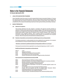For the year ended June 30, 2015

#### **1. LEGAL STATUS AND NATURE OF BUSINESS**

Colony Textile Mills Limited ("the company") is a public company limited by shares incorporated in Pakistan on 12 January 2011 under the provisions of the Companies Ordinance, 1984. The company is listed on Karachi Stock Exchange Limited. The registered office of the company is located at M. Ismail Aiwan-i-Science, Ferozepur Road, Lahore, Pakistan. The principal activity of the company is manufacturing and sale of yarn, fabrics, garments made ups and trading in real estate.

#### **2. BASIS OF PREPARATION**

#### **2.01 Statement of compliance**

These financial statements have been prepared in accordance with approved accounting standards as applicable in Pakistan and the requirements of the Companies Ordinance, 1984.Approved accounting standards comprise of such International Financial Reporting Standards (IFRS) issued by the International Accounting Standard Board (IASB) as notified under the provisions of the Companies Ordinance, 1984. Wherever, the requirements of the Companies Ordinance, 1984 or directives issued by the Securities and Exchange Commission of Pakistan differ with the requirements of these standards, the requirements of the Companies Ordinance, 1984 or the requirements of the said directives shall take precedence.

#### **2.02 Standards, interpretations and amendments to published approved accounting standards**

The following amendments to existing standards have been published that are applicable to the company's financial statements covering annual periods, beginning on or after the following dates:

#### **- Standards, amendments to published standards and interpretations effective in current year**

Following are the amendments that are applicable for accounting periods beginning on or after 01 July 2014:

#### **New/Revised Standards, Interpretations and Amendments**

| IFRIC <sub>21</sub> | Levies                                                                    |
|---------------------|---------------------------------------------------------------------------|
| <b>IAS 19</b>       | <b>Employee Contributions</b>                                             |
| <b>IAS32</b>        | Offsetting Financial Assets and Financial Liabilities                     |
| IAS 36              | Recoverable Amount for Non-Financial Assets                               |
| <b>IAS 39</b>       | Novation of Derivatives and Continuation of Hedge Accounting- (Amendment) |

#### **Improvement to Accounting Standards Issued by the IASB**

| IFRS <sub>2</sub>  | Share-based Payment-Definitions of vesting conditions                                                                                                 |
|--------------------|-------------------------------------------------------------------------------------------------------------------------------------------------------|
| IFRS3              | Business Combinations-Accounting for contingent consideration in a business combination                                                               |
| IFRS3              | Business Combinations-Scope exceptions for joint ventures                                                                                             |
| IFRS8              | Operating Segments-Aggregation of operating segments                                                                                                  |
| IFRS8              | Operating Segments- Reconciliation of the total of the reportable segments' assets to the<br>entity's assets                                          |
| IFRS <sub>13</sub> | Fair Value Measurement-Scope of paragraph 52 (Portfolio exception)                                                                                    |
| <b>IAS16</b>       | Property, Plant and Equipment and IAS 38 Intangible Assets- Revaluation Method-<br>Proportionate restatement of accumulated depreciation/amortization |
| IAS 24             | Related Party Disclosures-Key management personnel                                                                                                    |
| <b>IAS40</b>       | Investment Property-Interrelationship between IFRS 3 and IAS 40 (Ancillary services)                                                                  |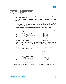For the year ended June 30, 2015

The adoption of the above improvements to accounting standards and interpretations did not have any material effect on the financial statements.

#### - **Standards, interpretations and amendments to published standards that are effective but not relevant to the company**

The other new standards, amendments and interpretations that are mandatory for accounting periods beginning on or after July 01, 2014 are considered not to be relevant or to have any significant impact on the company's financial reporting and operations.

#### - **Standards, interpretations and amendments to existing standards that are not yet effective**

The following amendments and interpretations to existing standards have been published and are mandatory for accounting periods beginning on or after their respective effective dates.

| <b>IFRS 10 -</b> | <b>Consolidated Financial Statements</b>   | 01 January 2015 |
|------------------|--------------------------------------------|-----------------|
| <b>IFRS 11 -</b> | Joint Arrangements                         | 01 January 2015 |
| <b>IFRS 12 -</b> | Disclosure of Interests in Other Entities  | 01 January 2015 |
| <b>IFRS 13 -</b> | Fair Value Measurement                     | 01 January 2015 |
| IAS 16 & 38 -    | Clarification of Acceptable Method of      | 01 January 2016 |
|                  | Depreciation and Amortization              |                 |
|                  | IAS 16 and 41 - Agriculture: Bearer Plants | 01 January 2016 |

The above standards, amendments and interpretations are either not relevant to the Company's operations or not expected to have significant impact on the Company's financial statements except for the increased disclosures in certain cases.

In addition to the above, the following new standards have been issued by IASB which are yet to be notified by the SECP for the purpose of applicability in Pakistan.

|                  | <b>Standard or Interpretation</b>     | <b>Effective Date</b><br>(Annual periods<br>beginning on or after) |
|------------------|---------------------------------------|--------------------------------------------------------------------|
| <b>IFRS 09 -</b> | Financial Instruments: Classification |                                                                    |
|                  | and Measurement                       | January 01, 2018                                                   |
| <b>IFRS 14 -</b> | <b>Regulatory Deferral Accounts</b>   | January 01, 2016                                                   |
| <b>IFRS 15 -</b> | Revenue from Contracts with Customers | January 01, 2017                                                   |

#### **3. FUNCTIONALAND PRESENTATION CURRENCY**

These financial statements are presented in Pak Rupees, which is the Company's functional and presentation currency.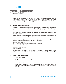For the year ended June 30, 2015

#### **4 . BASIS OF PREPARATION**

These financial statements have been prepared under the historical cost convention except for revaluation of certain financial instruments at fair value and recognition of certain employee retirement benefits at present value, investment on equity basis, certain liabilities at amortized cost, investment property and certain other investments at fair value. In these financial statements, except for the amounts reflected in the cash flow statement, all transactions have been accounted for on accrual basis.

#### **5. JUDGMENT, ESTIMATES AND ASSUMPTIONS**

The preparation of financial statements in conformity with approved accounting standards which requires management to make judgments, estimates and assumptions that affect the application of policies and reported amounts of assets, liabilities, income and expenses. The estimates and related assumptions are based on historical experience and various other factors that are believed to be reasonable under the circumstances. The estimates and related assumptions are reviewed on an ongoing basis. Accounting estimates are revised in the period in which such revisions are made and in any future periods affected.

Significant management estimates in these financial statements relate to the useful life of property, plant and equipment, provisions for staff retirement benefits, doubtful receivables, slow moving inventory and taxation.

The estimates and underlying assumptions are reviewed on an ongoing basis. Revisions to accounting estimates are recognised in the period in which such estimates are revised. Such estimates are:

- Useful life of depreciable assets;
- Provision for doubtful receivables and slow moving stores, spares and loose tools;
- Provision for current tax and deferred tax;
- Staff retirement benefits;
- Net realisable value of stock-in-trade; and
- Impairment of assets.

However, assumptions and judgments made by management in the application of accounting policies that have significant effect on the financial statements are not expected to result in material adjustments to the carrying amounts of assets and liabilities in the next year.

#### **6. SIGNIFICANT ACCOUNTING POLICIES**

#### **6.01 Staff retirement benefits**

The Company operates two plans for its employees

#### **Contributory provident fund**

Defined contributory provident fund for all eligible employees to which monthly contributions are made to cover the obligation. The Company and its employees make equal monthly contributions at the rate of 8.33 percent of basic salary.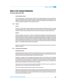For the year ended June 30, 2015

#### **Unfunded gratuity scheme**

The Company operates an unfunded gratuity scheme for all its eligible employees who have completed their minimum qualifying period of service with the Company. Provisions are made in the financial statements to cover obligation on the basis of actuarial valuation using the Projected Unit Credit Method. Any actuarial gain or loss arisen is recognized immediately in other comprehensive income.

#### **6.02 Taxation**

#### **Current**

Provision for current taxation is based on applicable current rates of taxation after taking into account tax credits and rebates available, if any, under the provisions of Income Tax Ordinance, 2001. The tax charge also includes adjustments, where necessary, relating to prior years which arise from assessments finalized during the year.

#### **Deferred**

Deferred tax liability is accounted for in respect of all taxable temporary differences at the balance sheet date arising from difference between the carrying amount of the assets and liabilities in the financial statements and corresponding tax bases. Deferred tax assets are recognized for all deductible temporary differences, unused tax losses, provisions and tax credits to that extent it is probable that taxable profit will be available in future against which the deductible temporary differences can be utilized. In this regard, the effects on deferred taxation of the portion of income subject to final tax regime is also considered in accordance with the requirement of Technical Release – 27 of Institute of Chartered Accountants of Pakistan.

Deferred tax is calculated at the rates that are expected to apply to the period when the asset is to be realized or liability is to be settled.

#### **6.03 Property, plant and equipment**

#### **Operating fixed assets**

Operating fixed assets are stated at cost less accumulated depreciation and any accumulated impairment losses except freehold land which is stated at cost and fully depreciated assets which are carried at residual value. Cost includes expenditure that is directly attributable to the acquisition of the asset.

Depreciation is charged to income by applying reducing balance method to write off the cost over estimated remaining useful life of assets. The useful life and depreciation method are reviewed periodically to ensure that the method and period of depreciation are consistent with the expected pattern of economic benefits from property, plant and equipments. Depreciation on addition to property, plant and equipment is charged from the date when asset is available for use up to the date of its de-recognition.

When parts of an item of property, plant and equipment have different useful lives, they are accounted for as separate items (major components) of property, plant and equipment.

Gains / losses on disposal of fixed assets are included in current year's income.

Subsequent costs are included in the asset's carrying amount are recognized as a separate asset, as appropriate, only when it is probable that future economic benefits associated with the item will flow to the entity and cost of the item can be measured reliably. All other repair and maintenance cost are charged to the profit and loss account during the year in which these are incurred.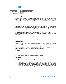For the year ended June 30, 2015

#### **Capital work in progress**

Capital work in progress is stated at cost less identified impairment loss, if any, and includes the expenditures on material, labour and appropriate overheads directly relating to the construction, erection or installation of an item of property, plant and equipment. These costs are transferred to property, plant and equipment as and when related items become available for intended use.

#### **Assets subject to finance lease**

These are stated at the lower of present value of minimum lease payments under the lease agreements and the fair value of the assets. The related obligations of lease are accounted for as liabilities. Financial charges are allocated to accounting periods in a manner so as to provide a constant periodic rate of financial cost on the remaining balance of principal liability for each period.

Depreciation is charged on the basis similar to owned assets applying reducing balance method to write off the cost of the asset over its estimated remaining useful life in view of certainty of ownership of assets at the end of the lease period.

Insurance and other maintenance costs are borne by the Company.

Financial charges and depreciation on leased assets are charged to income, currently.

#### **6.04 Investment property**

Property held to earn rentals and/or for capital appreciation is classified as investment property. Investment properties are initially measured at cost, including transaction cost. Subsequent to initial recognition, investment properties are stated at fair value, which effect market conditions at reporting date. Gains and losses arising from the change in fair value of properties are included in profit and loss in the year in which they arise. Fair values are determined based on an annual evaluation performed by an independent valuer.

#### **6.05 Investments**

#### **Recognition**

Investments in securities are recognized on settlement date basis of accounting.

#### **Measurement**

#### **(i) Financial assets at fair value through profit and loss (Held for trading)**

These securities are either acquired for generating a profit from short term fluctuations in prices or securities included in a portfolio in which a pattern of short term profit taking exists. These investments are initially measured at fair value being the consideration given. On subsequent reporting dates, these are measured at fair values on quoted market price and unrealized gains and losses arising from changes in the fair values are recognized in the income of the period in which these arise.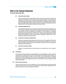For the year ended June 30, 2015

#### **(ii) Investments held to maturity**

These are securities with fixed or determinable payments and fixed maturity where the Company has a positive intent and ability to hold till maturity. These are initially measured at fair value being the consideration given plus transactions' costs that are attributable to the acquisition of these investments. At subsequent reporting dates, these are measured at amortized cost using effective interest rate method. Mark-up calculated using the effective interest rate method is recognized in the profit and loss account. Impairment loss, if any, is recognized in profit and loss in the period it arises.

#### **(iii) Investments available for sale**

These represent investments that do not fall under "financial assets at fair value through profit and loss" or "held to maturity" categories. These are initially recognized at fair value being the consideration given plus transaction costs that are attributable to the acquisition of these investments. On subsequent reporting date, these investments are remeasured at fair values on quoted market prices. Unrealized gains and losses arising from changes in the fair value of investments are recognized directly in equity through other comprehensive income until the investment is derecognized. Impairment loss, if any, is recognized in profit and loss in the period it arises.

#### **(iv) Investments in associates and related parties**

Investment in associates and related parties where the Company can exercise significant influence; has intention and ability to hold the investment for more than twelve months of acquisition and are not held for sale are accounted for using the equity method of accounting. Impairment in value, if any, is recognized in profit and loss in the period it arises.

#### **(v) Investment in unquoted securities**

Investment in unquoted securities are initially measured at cost. Impairment loss, if any, is charged to income.

#### **6.06 Contingencies**

The Company has disclosed significant contingent liabilities for the pending litigation and claims against the Company based on its judgment and the advice of the legal advisors for the estimated financial outcome. The actual outcome of these litigations and claims can have an effect on the carrying amounts of the liabilities recognised at the balance sheet date. However, based on the best judgment of the Company and its legal advisors, the likely outcome of these litigations and claims is remote and there is no need to recognise any liability at the balance sheet date.

#### **6.07 Stores, spares and loose tools**

These are valued at lower of cost and net realizable value. Cost is calculated using moving average method except for items in transit which are valued at cost comprising invoice value plus other charges paid thereon till the balance sheet date. Provision is made against obsolete items.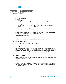For the year ended June 30, 2015

#### **6.08 Stock in trade**

Basis of valuation are as follows **Particulars** Raw materials:<br>At mills

At mills **At lower of weighted average cost and net realizable value**<br>
At cost accumulated to the balance sheet date In-transit **At cost accumulated to the balance sheet date**<br>Work in process **At average manufacturing cost** Work in process **At average manufacturing cost**<br>
Finished goods **At lower** of average manufactur At lower of average manufacturing cost and net realizable value Waste **At net realizable value** 

Cost in relation to work in process and finished goods represents the average manufacturing cost which consists of prime cost and attributable production overheads.

Net realizable value signifies the estimated selling price in the ordinary course of business less the estimated costs of completion and the estimated costs necessary to make the sale.

#### **6.09 Trade debts and other receivables**

Receivables are carried at original invoice amount less an estimate made for doubtful receivable balances based on review of outstanding amounts at year end. Bad debts are written off when identified.

#### **6.10 Cash and cash equivalents**

Cash and cash equivalents comprise of cash in hand and at banks.

#### **6.11 Borrowings**

Loans and borrowings are recorded at the proceeds received. Financial charges are accounted for on the accrual basis. Borrowing costs directly attributable to the acquisition, construction or production of qualifying assets, which are assets that necessarily take a substantial period of time to get ready for their intended use or sale, are added to the cost of those assets, until such time as the assets are substantially ready for their intended use or sale. All other borrowing costs are charged to income in the period in which these are incurred.

#### **6.12 Trade and other payables**

Liabilities for trade and other amounts payable are carried at cost which is the fair value of the consideration to be paid in the future for goods and services.

#### **6.13 Provisions**

Provisions are recognized when the Company has a legal and constructive obligation as a result of past events and it is probable that an outflow of resources will be required to settle these obligations and a reliable estimate of the amounts can be made.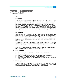For the year ended June 30, 2015

#### **6.14 Impairment**

#### **Financial assets**

The Company assesses at each balance sheet date whether there is any objective evidence that a financial asset or group of financial assets is impaired. A financial asset or group of financial assets is deemed to be impaired, if and only if, there is objective evidence of impairment as a result of one or more events that has occurred after the initial recognition of asset (an incurred "loss event") and that loss event has an impact on the estimated future cash flows of the financial asset or the group of financial assets that can be reliably estimated. Evidence of impairment may include indications that the debtors or a group of debtors is experiencing a significant financial deficiency, default of delinquency in interest or principal payments, the probability that they will enter bankruptcy or other financial reorganisation and where observable data indicate that there is measurable decrease in the estimated future cash flows, such as changes in arrears or economic conditions that correlate with defaults.

#### **Non financial assets**

The company assesses at each balance sheet date whether there is any indication that assets except deferred tax assets may be impaired. If such indication exists, the carrying amounts of such assets are reviewed to assess whether they are recorded in excess of their recoverable amount. Where carrying values exceed the respective recoverable amount, assets are written down to their recoverable amounts and the resulting impairment loss is recognized in profit and loss account. The recoverable amount is the higher of an asset's fair value less costs to sell and value in use.

Where impairment loss subsequently reverses, the carrying amount of the asset is increased to the revised recoverable amount but limited to the carrying amount that would have been determined, had no impairment loss been recognized for assets in prior year. Reversal of impairment loss is recognized as income.

The gain or loss on disposal or retirement of an asset represented by the difference between the sale proceeds and the carrying amount of the asset is recognized as an income or expense.

#### **6.15 Revenue recognition**

- **(i)** Local sales are recorded when goods are delivered to customers and invoices raised.
- **(ii)** Export sales are booked on shipment basis.
- **(iii)** Processing charges are recorded when goods are delivered to customers and invoices raised.
- **(iv)** Dividend income is recognized when the right to receive payment is established.
- **(v)** Profits on short term deposits is accounted for on time apportioned basis on the principal outstanding and at the rate applicable.

#### **6.16 Related party transactions**

Transactions with related parties are based on the transfer pricing policy that all transactions between the Company and the related party of the Company are at arm's length prices using the comparable uncontrolled price method except in circumstances where it is in the interest of the Company not to do so.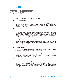For the year ended June 30, 2015

#### **6.17 Dividend**

Dividend is recognized as liability in the period in which it is declared.

#### **6.18 Foreign currency translations**

Transactions in foreign currencies are accounted for in Pak rupees at the rates of exchange prevailing at the date of transaction. Monetary assets and liabilities in foreign currencies are translated at rates of exchange prevailing at the balance sheet date and in case of forward exchange contracts at the committed rates. Gains or losses on exchange are charged to income.

#### **6.19 Financial instruments**

All financial assets and financial liabilities are initially measured at cost which is the fair value of the consideration given and received respectively. These financial assets and financial liabilities are subsequently measured at fair value, amortized cost as the case may be. All the financial assets and financial liabilities are recognized at the time when the Company becomes a party to the contractual provisions of the instruments. Any gain/loss on derecognition and on remeasurement of such financial instruments other than investments available for sale, is included in the profit/loss for the period in which it arises.

#### **6.20 Off Setting of financial assets and financial liabilities**

Financial assets and financial liabilities are offset and the net amount is reported in the balance sheet, when there is a legally enforceable right to set off the recognized amounts and the Company intends to either settle on net basis or to realize the asset and settle the liability simultaneously. Corresponding income on assets and charge on liability is also offset.

#### **6.21 Earnings per share (EPS)**

Basic EPS is calculated by dividing the profit and loss attributable to ordinary shareholders of the Company by the weighted average number of ordinary shares outstanding during the year.

Diluted EPS is calculated by adjusting basic EPS by the weighted average number of ordinary shares that would be issued on conversion of all dilutive potential ordinary shares into ordinary shares and post-tax effect of changes in profit and loss attributable to ordinary shareholders of the Company that would result from conversion of all dilutive potential ordinary shares into ordinary shares.

#### **6.22 Segment reporting**

Segment reporting is based on the operating (business) segments of the Company. An operating segment is a component of the Company that engages in business activities from which it may earn revenues and incur expenses, including revenues and expenses that relate to the transactions with any of the Company's other components. An operating segment's operating results are reviewed regularly by the chief executive to make decisions about resources to be allocated to the segment and assess its performance, and for which discrete financial information is available.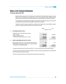For the year ended June 30, 2015

Segment results that are reported to the chief executive include items directly attributable to a segment as well as those that can be allocated on a reasonable basis. Those incomes, expenses, assets, liabilities and other balances which cannot be allocated to a particular segment on a reasonable basis are reported as unallocated.

The Company has two reportable business segments. Spinning (Producing different quality of yarn using natural and artificial fibres) and Weaving (Producing different quality of fabric using yarn).

Transaction among the business segments are recorded at arm's length prices using admissible valuation methods. Inter segment sales and purchases are eliminated from the total.

| 7. | <b>AUTHORIZED SHARE CAPITAL</b>                                                                                                                      | 2015                                | 2014<br>(Rupees in "000")           |
|----|------------------------------------------------------------------------------------------------------------------------------------------------------|-------------------------------------|-------------------------------------|
|    | 185,000,000 (2014: 185,000,000 ordinary shares<br>of Rs. 10/- each)<br>Capital of merged companies<br>(345,000,000 ordinary shares of Rs. 10/- each) | 1,850,000<br>3,450,000<br>5,300,000 | 1,850,000<br>3,450,000<br>5,300,000 |
| 8. | <b>ISSUED, SUBSCRIBED AND PAID UP CAPITAL</b>                                                                                                        |                                     |                                     |
|    | 20,000 ordinary shares of Rs. 10 each issued as fully paid shares<br>497,989,959 fully paid ordinary shares of Rs. 10 each issued to the             | 200                                 | 200                                 |
|    | shareholders of amalgamated entities                                                                                                                 | 4,979,900<br>4,980,100              | 4,979,900<br>4.980.100              |

- Fully paid ordinary shares, which have a par value of Rs. 10/-, carry one vote per share and carry right to dividends.

- There are no rights, preferences and restrictions attached to any class of shares including restrictions on the distribution of the dividends and the repayment of capital.

- There are no shares reserved for issue under options and contracts for the sale of shares.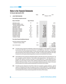For the year ended June 30, 2015

|    |                                                  |                        | <b>Notes</b> | 2015       | 2014              |
|----|--------------------------------------------------|------------------------|--------------|------------|-------------------|
| 9. | <b>LONG TERM FINANCING</b>                       |                        |              |            | (Rupees in "000") |
|    | From banking companies-secured                   |                        |              |            |                   |
|    | Name of the Bank                                 | <b>Type of finance</b> |              |            |                   |
|    | <b>Allied Bank Limited</b>                       | TF                     | 9.01         |            | 2,570             |
|    | BankIslami Pakistan Limited                      |                        |              |            |                   |
|    | (formerly KASB Bank Limited)                     | DF                     | 9.02         | 554,761    | 554,761           |
|    | Faysal Bank Limited                              | <b>TF</b>              | 9.03         | 92,411     | 108,482           |
|    | <b>Habib Bank Limited</b>                        | $TF - IV$              | 9.04         | 99,962     | 99,962            |
|    | National Bank of Pakistan                        | DF                     | 9.05         | 140,000    | 140,000           |
|    | National Bank of Pakistan                        | $DF - IV$              | 9.06         | 45,444     | 45,444            |
|    | National Bank of Pakistan                        | $DF - V$               | 9.07         | 401,400    | 401,400           |
|    | Soneri Bank Limited                              | DF                     | 9.08         | 70,835     | 82,167            |
|    | Soneri Bank Limited                              | $DF - I$               | 9.09         | 412,231    | 525,231           |
|    | Soneri Bank Limited                              | $DF - II$              | 9.10         | 197,356    | 201,356           |
|    | The Bank of Punjab                               | <b>TF</b>              | 9.11         | 3,226,588  | 3,243,013         |
|    | The Bank of Punjab                               | TF I, III              | 9.12         | 3,506,273  | 3,597,625         |
|    | <b>From other financial institutions-Secured</b> |                        |              |            |                   |
|    | Saudi Pak Industrial and Agricultural            |                        |              |            |                   |
|    | <b>Investment Company Limited</b>                |                        | 9.13         | 6,042      | 9,063             |
|    |                                                  |                        |              | 8,753,303  | 9,011,074         |
|    | Less: Current portion                            |                        | 16.00        | (995, 122) | (1,670,068)       |
|    |                                                  |                        |              | 7,758,181  | 7,341,006         |
|    |                                                  |                        |              |            |                   |

- **9.01** The facility had been obtained from Allied Bank Limited and was repayable in monthly instalments, commencing from November 2009. Mark-up was accrued at the rate of 1 month KIBOR plus 1.25% (2014: 1 month KIBOR + 1.25 %) per annum and was payable quarterly. The loan was secured against ranking charge on fixed assets (plant and machinery) of the Company amounting to Rs. 179 million, 1st Joint pari passu charge of Rs. 467 million on present and current assets and personal guarantee of a director and a shareholder of the company.
- **9.02** These facilities have been obtained from BankIslami Pakistan Limited with restructuring on November 2012. The loan is repayable in quarterly instalments. These facilities contain demand finance -I with final maturity on 31 December 2022. Mark-up is accrued on the basis of 3 months KIBOR (2014: 3 months KIBOR) per annum payable in two years through 24 equal monthly instalments starting after settlement of principal payment in December 2022 by the Company. The loan is secured against ranking & joint pari passu charge on the present and future assets of the Company and personal guarantees of two directors of the Company.
- **9.03** The facility has been obtained from Faysal Bank Limited and is repayable in quarterly instalments, with final maturity on 30 September 2023. Mark-up is payable at the rate of 3 months KIBOR (2014: 3 month KIBOR) per annum and is payable quarterly. The loan is secured against second ranking pari passu charge of Rs. 200 million over fixed assets of the Company and personal guarantee of two directors of the Company.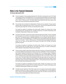For the year ended June 30, 2015

- **9.04** The loan is repayable in 16 equal quarterly instalments of Rs. 9.99 million commencing from June 30, 2012. Mark up is payable at the rate of 3 months KIBOR plus 2.5% (in case of timely payments effective mark up rate would be 3 months KIBOR plus 2.5%). The effective mark up rate charged during the year ranges from 9.31% to 12.66% (2014: 11.58% to 12.68%) per annum. This finance facility is secured against joint parri passu charge on fixed assets of the company along with personal guarantee of a director.
- **9.05** This loan facility has been obtained from National Bank of Pakistan and was repayable in 20 equal quarterly instalment. Mark-up is payable at the rate 7% (2014: 7%) per annum. The loan is secured against first pari passu /first joint pari passu charge of Rs. 434 million over fixed assets of the Company.

The Company has applied for rescheduling of this finance facility. Therefore, the Company has not made principal payment of Rs. 140 million (2014: Rs. 140 million) during the year. The matter of rescheduling is under consideration of National Bank of Pakistan and is in final stage.

**9.06** The purpose of this facility is to finance the purchase of new fixed assets of the Company. The loan is repayable from the Company's own cash flows in 24 quarterly instalments of Rs. 9.09 million each commencing from 19 March 2007. The remaining number of outstanding instalments are 05 as at balance sheet date. Mark up is payable at the rate of 3 months KIBOR plus 2%. The effective mark up rate charged during the year ranges from 10.50 % to 12.71% (2014 : 11.58% to 12.68%) per annum. This finance facility is secured against first pari passu charge of Rs. 937 million over fixed assets of the Company to the extent of Rs. 334 million and personal guarantees of directors.

The Company has applied for rescheduling of this finance facility. Therefore, the Company has not made principal payment of Rs. 45.44 million (2014: Rs. 45.44 million) during the year. The matter of rescheduling is under consideration of National Bank of Pakistan and is in final stage.

**9.07** This loan has been availed for restructuring of balance sheet of the Company by converting short term liabilities into long term liabilities through adjustments / reduction of short term credit facilities. The loan is repayable in 20 equal quarterly instalments commencing from 30 September 2010. The remaining number of outstanding instalments are 18 as at balance sheet date. Mark up is payable at the rate of 3 months KIBOR plus 2.50% per annum. The effective mark up rate charged during the year ranges from 10% to 12.21% (2014: 11.58 % to 12.68 %) per annum. This finance facility is secured against first joint pari passu charge over fixed assets of the Company with 30% margin by utilizing the cushion available in existing first joint pari passu charge over fixed assets of the Company on the basis of outstanding balance of DF - V and required joint pari passu charge for short term credit facilities and personal guarantee of a director.

The Company has applied for rescheduling of this finance facility. Therefore, the Company has not made principal payment of Rs. 401.40 million (2014: 401.40 million) during the year. The matter of rescheduling is under consideration of National Bank of Pakistan and is in final stage.

**9.08** The facility has been obtained from Soneri Bank Limited and is to be repaid in 30 equal quarterly instalments starting from February 2014. Mark-up is payable at the rate of 3 month KIBOR (2014: 03 month KIBOR) per annum. The loan is secured against existing joint pari passu charge of Rs. 350 million over fixed assets of the Company and personal guarantees of two directors of the company.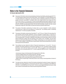For the year ended June 30, 2015

- **9.09** The purpose of this facility is restructuring/ rescheduling of existing principal liability outstanding against DF, TF-1, TF-2 and acceptance inland to the tune of Rs. 809.63 million. Loan is repayable in 75 monthly instalments of Rs. 10.8 million starting from 31 March 2012. The remaining number of outstanding instalments are 45. Mark up is payable at the rate 3 month KIBOR. The effective mark-up rate charged during the year ranges from 8% to 10.21% (2014: 9.03% to 10.17%) per annum. The loan is secured against joint pari passu charge of Rs. 423.50 million over land situated at Mahal Muzaffarabad along with all present and future fixed assets. RM of Rs. 5 million & EM of Rs. 400 Million over plot located at Garden Town Sher Shah Road Multan valuing Rs. 263 million. Special hypothecation charge of Rs. 559.38 million over plant and machinery imported through the bank.
- **9.10** The purpose of this facility is restructuring of overdue mark up. Loan is repayable in monthly instalments commencing from 31 March 2012 and maturing on 31 January 2021. The remaining number of outstanding instalments are 71. No mark up is payable on this facility.
- **9.11** The purpose of this facility is restructuring of loan facility TF-1 and TF-III as on 31 March 2014 amounting to Rs. 2,401.09 million and 841.90 million respectively. The loan is repayable on quarterly basis in 10 years from 31 March 2014 to 31 December 2023. Mark-up is payable at the rate of 7% or cost of funds (COF) less administrative cost of preceding quarter. This facility is collaterally secured against first Joint pari passu charge over the fixed assets (including land, building, plant and machinery) of the company of Rs. 4,720 Million, Joint pari Passu charge over current assets of the company for Rs. 814 Million, ranking charge over current assets of the company for Rs. 130 million, pledge of 15,862,960 shares of Imperial Sugar Limited and personal guarantee of one director with his personal net worth statement.
- **9.12** These facilities have been obtained from Bank of Punjab with restructuring w.e.f. 1st July 2014 . The loan is repayable in 60 quarterly instalments commencing from September 30, 2014. This facility is created by merging term finance I and III with final maturity on June 30, 2029. Mark-up is payable at cost of funds (COF) less administrative cost of preceding quarter (2014: 3 months average ask KIBOR) per annum. These facilities are secured by:
	- joint pari passu charge over the fixed assets of the Company for Rs. 5,266 million,
	- exclusive mortgage charge on the Company's land of Rs. 5,266 million,
	- joint pari passu charge over the current assets of the Company of Rs. 333 million,
	- ranking charge over the current assets of the Company for Rs. 534 million,

- pledge of shares of Imperial Sugar Limited held by director of the Company, Personal guarantee of a director of the Company.

**9.13** This facility has been obtained from Saudi Pak Industrial and Agricultural Investment Company Limited and is repayable in 36 monthly instalments, commencing from April 2014. Mark-up is payable @ 3 month KIBOR plus 2.5% (2014: 3 month KIBOR plus 2.5 %) per annum. The loan is secured against existing joint pari passu charge of Rs. 94 million over fixed assets of the company and personal guarantee of a director.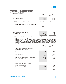For the year ended June 30, 2015

| 10. | DIRECTORS' SUBORDINATED LOAN | 2015<br>(Rupees in "000") | 2014               |
|-----|------------------------------|---------------------------|--------------------|
|     | Directors' subordinated loan | 120,000<br>120,000        | 120,000<br>120,000 |

**10.01** This is unsecured and interest free loan obtained from sponsor director, and is not repayable within next twelve months from the balance sheet date. This loan is subordinated to The Bank of Punjab, Standard Chartered Bank Limited, Meezan Bank Limited and Faysal Bank Limited.

| 2015 |                   | 2014 |
|------|-------------------|------|
|      | (Rupees in "000") |      |

### **11. LIABILITIES AGAINST ASSETS SUBJECT TO FINANCE LEASE**

| Present value of minimum lease payments | 64.178   | 86.361   |
|-----------------------------------------|----------|----------|
| Less: Current portion                   | (26.665) | (35.780) |
|                                         | 37.513   | 50,581   |

**11.01** These represent machinery under sale and lease back agreements. The principal plus financial charges are payable over the lease period in quarterly instalments as per respective agreements ending in the month of June 2020. The liability as at balance sheet date represents the present value of total minimum lease payments discounted at 7.99 % to 14.71 % per annum being the interest rates implicit in leases. The purchase option is available to the Company on payment of last instalment and surrender of deposit at the end of lease period and the Company intends to exercise this option. Reconciliation of minimum lease payments and their present values is given below:

|                                                                                                                         | 2015                                     | 2014                                       |
|-------------------------------------------------------------------------------------------------------------------------|------------------------------------------|--------------------------------------------|
|                                                                                                                         | (Rupees in "000")                        |                                            |
| The amount of future payments and the years in<br>which these will become due are:                                      |                                          |                                            |
| Not later than one year<br>Later than one year but not later than five years<br>Later than five years                   | 32,487<br>43,489<br>75,976               | 43,891<br>57,222<br>6,302<br>107,415       |
| Less: Financial charges allocated to future periods<br>Present value of minimum lease payments<br>Less: Current portion | (11,798)<br>64,178<br>(26,665)<br>37,513 | (21, 054)<br>86,361<br>(35, 780)<br>50,581 |
| 11.02 Present value of minimum lease payments                                                                           |                                          |                                            |
| Due not later than one year<br>Due later than one year but not later than five years<br>Later than five years           | 26,665<br>37,513<br>64,178               | 35,780<br>44,662<br>5,919<br>86,361        |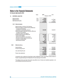For the year ended June 30, 2015

| 12. |       | <b>DEFERRED LIABILITIES</b>                                                                                                                                                                                                                                                                                                                                                                                                                                                                                                                                      | <b>Notes</b>            | 2015<br>(Rupees in "000")                                                                   | 2014                                                                              |
|-----|-------|------------------------------------------------------------------------------------------------------------------------------------------------------------------------------------------------------------------------------------------------------------------------------------------------------------------------------------------------------------------------------------------------------------------------------------------------------------------------------------------------------------------------------------------------------------------|-------------------------|---------------------------------------------------------------------------------------------|-----------------------------------------------------------------------------------|
|     |       | Deferred taxation<br>Deferred mark up<br>Staff retirement benefits                                                                                                                                                                                                                                                                                                                                                                                                                                                                                               | 12.01<br>12.02<br>12.03 | 49,554<br>2,199,009<br>22,287<br>2,270,850                                                  | 2,122,388<br>40,117<br>2,162,505                                                  |
|     | 12.01 | <b>Deferred taxation</b>                                                                                                                                                                                                                                                                                                                                                                                                                                                                                                                                         |                         |                                                                                             |                                                                                   |
|     |       | Deferred taxation comprises of the following:<br>Deferred tax liability on taxable temporary differences<br>in respect of the following:<br>- Accelerated tax depreciation allowance<br>Deferred tax asset on deductible temporary differences<br>in respect of the following:<br>- Unused tax losses to the extent of<br>available taxable temporary differences<br>- Finance lease liabilities<br>- Minimum tax available for carry forward<br>- Provision for stores, spares and loose tools<br>- Provision for doubtful debts<br>- Staff retirement benefits |                         | 1,509,968<br>1,074,348<br>12,528<br>367,036<br>1,271<br>880<br>4,351<br>1,460,414<br>49,554 | 1,495,376<br>1,209,989<br>17,099<br>257,233<br>877<br>2,476<br>7,702<br>1,495,376 |
|     | 12.02 | Deferred mark up                                                                                                                                                                                                                                                                                                                                                                                                                                                                                                                                                 |                         |                                                                                             |                                                                                   |
|     |       | Opening balance<br>Provision during the year                                                                                                                                                                                                                                                                                                                                                                                                                                                                                                                     |                         | 4,209,295<br>141,790<br>4,351,085                                                           | 3,203,200<br>1,006,095<br>4,209,295                                               |
|     |       | Less: paid during the year<br>Present value adjustment                                                                                                                                                                                                                                                                                                                                                                                                                                                                                                           |                         | 3,800<br>4,347,285<br>2,148,276                                                             | 4,209,295<br>2,086,907                                                            |
|     |       |                                                                                                                                                                                                                                                                                                                                                                                                                                                                                                                                                                  |                         | 2,199,009                                                                                   | 2,122,388                                                                         |

It represents mark up deferred by Faysal Bank Limited, KASB Bank Limited, Soneri Bank Limited and Bank of Punjab. It is payable starting from 30 September 2013 and maturing on 30 June 2029.

This deferred mark-up has been discounted using effective rate of interest and classified separately in non current liabilities and profit and loss account.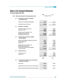For the year ended June 30, 2015

| 12.03 |     | Staff retirement benefits - unfunded gratuity scheme                                                                                   | 2015                                | 2014<br>(Rupees in "000")              |
|-------|-----|----------------------------------------------------------------------------------------------------------------------------------------|-------------------------------------|----------------------------------------|
|       | (a) | Reconciliation of amounts recognized<br>in the balance sheet:                                                                          |                                     |                                        |
|       |     | Present value of defined benefit obligation                                                                                            | 22,287                              | 40,117                                 |
|       |     | Net liability at the end of the year                                                                                                   | 22,287                              | 40,117                                 |
|       | (b) | <b>Movement in net liability</b>                                                                                                       |                                     |                                        |
|       |     | Net liability at beginning of the year<br>Charge for the year<br>Remeasurements chargeable in OCI                                      | 40,117<br>35,806<br>75,923          | 34,755<br>53,254<br>88,009<br>(1, 426) |
|       |     | Benefits paid during the year<br>Net liability at end of the year                                                                      | (53, 636)<br>22,287                 | (46, 466)<br>40,117                    |
|       | (c) | Changes in the present value of defined<br>benefit obligation                                                                          |                                     |                                        |
|       |     | Defined benefit obligation at beginning of the year<br>Current service cost<br><b>Interest Cost</b>                                    | 40,117<br>34,445<br>1,361<br>75,923 | 34,755<br>52,045<br>1,209<br>88,009    |
|       |     | Remeasurements chargeable in OCI<br>Benefits paid during the year<br>Present value of defined benefit obligation<br>at end of the year | (53, 636)<br>22,287                 | (1,426)<br>(46, 466)<br>40,117         |
|       | (d) | Charge for the year                                                                                                                    |                                     |                                        |
|       |     | Current service cost<br><b>Interest Cost</b>                                                                                           | 34,445<br>1,361<br>35,806           | 52,045<br>1,209<br>53,254              |
|       |     |                                                                                                                                        | 2015                                | 2014                                   |
|       | (e) | The principal assumptions used in the actuarial<br>valuation are as follows:                                                           |                                     |                                        |
|       |     | Discount rate                                                                                                                          | 13.25%                              | 13.25%                                 |
|       |     | Expected rate of increase per annum in future salaries                                                                                 | 12.25%                              | 12.25%                                 |
|       |     | Expected average remaining working life of employees                                                                                   | 4 years                             | 5 years                                |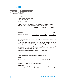For the year ended June 30, 2015

#### **Mortality rate**

The rates assumed were based on the EFU 61-66 mortality table.

#### **Sensitivity analysis for actuarial assumptions**

The following table summarizes how the net defined benefit obligation at the end of the reporting period would have increased/ (decreased) as a result of change in respective assumptions.

|                             | Change in<br><b>Assumptions</b> | <b>Increase</b> | <b>Decrease</b> |  |
|-----------------------------|---------------------------------|-----------------|-----------------|--|
|                             |                                 |                 |                 |  |
| Discount rate               | $1\%$                           | 36,877          | 43,803          |  |
| Increase in future salaries | 1%                              | 44.110          | 36,531          |  |

A change in expected remaining working lives of employees is not expected to have a material impact on the present value of defined benefit obligation. Accordingly, the sensitivity analysis for the same has not been carried out.

The sensitivity analysis presented above may not be representative of the actual change in the defined benefit obligation as it is unlikely that the change in assumptions would occur in isolation of one another as some of the assumptions may be correlated. Furthermore, in presenting the above sensitivity analysis, the present value of defined benefit obligation as at the reporting date has been calculated by using projected unit credit method, which is the same as that applied in calculating the defined benefit obligation to be recognized in these financial statements.

Effects of retrospective application of change in accounting policy are as follows:

#### **Risk factors**

The defined benefit plan exposes the Company to the following actuarial risks:

#### **Interest risk**

The discount rate used in determination of present value of defined benefit obligation has been determined by reference to market yield at the reporting date on Pakistan Investment Bonds since there is no deep market in long term corporate bonds in Pakistan. An increase in market yield resulting in a higher discount rate will decrease in the defined benefit liability.

### **Longevity risk**

The present value of defined benefit obligation is calculated by reference to the best estimate of the expected remaining working lives of the employees. An increase in the expected remaining working lives will increase the defined benefit obligation. However, the increase is not expected to be material.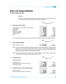For the year ended June 30, 2015

#### **Salary risk**

The present value of defined benefit obligation is calculated by reference to future salaries of employees. An increase in salary of employees will increase the defined benefit obligation.

|     |                                                                                | 2015               | 2014               |
|-----|--------------------------------------------------------------------------------|--------------------|--------------------|
|     |                                                                                |                    | (Rupees in "000")  |
| 13. | <b>TRADE AND OTHER PAYABLES</b>                                                |                    |                    |
|     |                                                                                |                    |                    |
|     | Trade creditors - Local - Unsecured but considered good<br>Accrued liabilities | 674,585<br>439,085 | 516,965<br>378,214 |
|     | <b>Bills payables</b>                                                          | 583,769            | 437,455            |
|     | Advance from customer                                                          | 169,280            | 44,224             |
|     | Withholding tax payable                                                        | 90,687             | 73,950             |
|     | Unclaimed dividend                                                             | 1,328              | 1,328              |
|     | <b>Others</b>                                                                  | 6,624              | 47,482             |
|     |                                                                                | 1,965,358          | 1,499,618          |

**13.01** Bills payable include overdue amount of Rs. 288.99 (2014: 288.99) million payable to National Bank of Pakistan.

| <b>14. SHORT TERM BORROWINGS</b> | 2015      | 2014<br>(Rupees in "000") |
|----------------------------------|-----------|---------------------------|
| Banking companies - secured      | 4,315,040 | 4,495,475                 |

- **14.01.** Short term borrowings are available from banking companies under mark-up arrangements. The rates of mark up range from 7.21% to 14.64% per annum (2014: 9.03% to 14.75%). These are secured against pledge / hypothecation of stock-in-trade, hypothecation of stores and spares, lien over import / export documents, pari passu charge over present and future current assets of the Company.
- **14.02** From the total aggregate short term facilities of Rs. 4,495.88 million (2014: 4,495.88 million), the amount of Rs. 180.84 (2014: Rs. 0.405) million remained unutilized as at 30 June 2015.

| 15. | <b>ACCRUED MARK UP</b>                                                                              | 2015<br>(Rupees in "000")                | 2014                                    |
|-----|-----------------------------------------------------------------------------------------------------|------------------------------------------|-----------------------------------------|
|     | Accrued mark up on:                                                                                 |                                          |                                         |
|     | Long term financing<br>Liabilities against assets subject to finance lease<br>Short term borrowings | 395,462<br>9.345<br>768,192<br>1,172,999 | 423.789<br>17.517<br>507,500<br>948,806 |
| 16. | <b>CURRENT PORTION OF LONG TERM LIABILITIES</b>                                                     |                                          |                                         |
|     | Long term financing<br>Liabilities against assets subject to finance lease                          | 995,122<br>26,665<br>1,021,787           | 1,670,068<br>35,780<br>1,705,848        |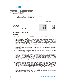For the year ended June 30, 2015

**16.01** Current portion of long term financing includes principal installments amounting to Rs. 738 (2014: 586.85) million which became due for reasons as disclosed in note 9.

|     |                                                 | 2015<br>(Rupees in "000") | 2014    |
|-----|-------------------------------------------------|---------------------------|---------|
| 17. | <b>PROVISION FOR TAXATION</b>                   |                           |         |
|     | Opening balance                                 | 226,743                   | 146,980 |
|     | Add: Taxation - current                         | 163,736                   | 200,600 |
|     |                                                 | 390,479                   | 347,580 |
|     | Less: Tax payments /adjustments during the year | 226,743                   | 120,837 |
|     |                                                 | 163,736                   | 226,743 |

### **18. CONTINGENCIES AND COMMITMENTS**

#### **Contingencies**

- **18.01** Multan Electric Power Company Limited (MEPCO), taken-over by WAPDA in May 1981, had served notice on the Company under Martial Law Regulation No. 125 of 1972 for payment of Rs. 15.69 million on account of cost of two transformers and grid-station along with benefits derived and interest accrued thereon up to April 1981 as against a liability of Rs. 1.10 million admitted by MEPCO in the written statements filed by it in the civil suit instituted by the Company before the Senior Civil Judge, Lahore. The Company challenged the illegal proceedings through a writ petition in the Lahore High Court which is at the stage of intra-court appeal pending before the Lahore High Court, Multan Bench and in which a stay order has been issued against a bank guarantee of Rupees 1.10 million arranged by the Company. MEPCO on the other hand owes to the Company Rupees 1.445 million (including unpaid dividend and interest thereon not incorporated in these financial statements). A suit has been filed by the Company for recovery of balance amount which is pending with the Court of Senior Civil Judge, Lahore.
- **18.02** The Collectors of Customs, Sales Tax and Central Excise, in preceding year raised a demand of Rs. 2.25 million relating to inadmissible input tax claim of sales tax on sui gas bills, transformers and high power cables. In addition to the above, the Collector also raised demand of sales tax on inadmissible input tax on electricity bills amounting to Rs. 1.52 million. The Company has filed an appeal with Customs, Excise and Sales Tax Appellate Tribunal against the aforementioned orders which is still pending adjudication with the Tribunal. The Company has deposited Rs. 1.102 million against demand raised by the Collector in respect of inadmissible input tax on electricity, under the directions of the Tribunal. The Company has deposited Rs. 0.56 million as one-fourth of the demand of Rs. 2.25 million raised in respect of other issues. The case is pending adjudication with the Tribunal and the Company expects a favourable outcome in this regard.
- **18.03** The Company imported textile machinery availing exemptions from customs duty and sales tax on import thereof under S.R.Os. 554(I)/97, 987 (I)/99, and 439(I)/2001. The Company has submitted indemnity bonds to the customs authorities in this regard. In case, the conditions of above mentioned S.R.Os are violated, the amount of customs duty and sales tax exempted aggregating Rs. 89.51 million shall be recovered along with such penalties imposed in this regard under section 202 of the Customs Act, 1969. The conditions of the said SRO vis-à-vis export of 50% of additional production during first three years and 60% of the additional production during subsequent two years has been complied with. Audit of first three years has been conducted by the department and has given compliance certificate and audit of second period is in the process. Since all the conditions have been complied with, no liability will accrue in this respect.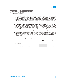For the year ended June 30, 2015

- **18.04** In 1981, the Company issued non-convertible debentures to a consortium of banks and financial institutions. Subsequently, under authority of State Bank of Pakistan's circular No.19 dated June 05, 1997, the Company arrived on a settlement with all but one lender, State Life Insurance Corporation of Pakistan (SLIC), for its share of less than Rs. 01 million. On a petition by the Company, the Lahore High Court, Lahore, decreed the case in favour of the Company. However SLIC has filed an intra-court appeal against which the Company expects a favourable outcome.
- **18.05** The Company filed a suit in the Court of Civil Judge, Multan for recovery of Rs.2.49 million from Cotton Trading Corporation of Pakistan Limited on account of loss of profit, damages and shortages caused due to nationalization of Model Ginning & Oil Mills Limited. In 1996, the Court issued a decree in favour of the Company for Rs. 1.30 million along with interest at the rate of 7% per annum to be calculated from the date of institution of the suit until the date of realization of the decreed amount. The Company, however, has not accepted the said decision and filed a writ petition with the Lahore High Court, Multan Bench which is pending for adjudication.
- **18.06** The Company has filed an appeal before the Appellate Tribunal, Customs, Central Excise & Sales Tax, Lahore under Section 46 of the Sales Tax Act, 1990 against rejection of its refund claim amounting to Rs. 3.21 million on account of sales tax paid on processed fabrics, by the Collector of Customs, Central Excise & Sales Tax (Appeals) Lahore.
- **18.07** Bank guarantees amounting to Rs. 289.934 (2014 Rs. 274.70 million).

|                                                        | 2015 | 2014<br>(Rs. in Million) |
|--------------------------------------------------------|------|--------------------------|
| <b>Commitments</b>                                     |      |                          |
| Under letters of credit for the import of raw material | 9.90 | 64.01                    |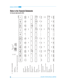**46**

### Notes to the Financial Statements

For the year ended June 30, 2015

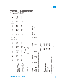|       |                                                                                                                    | Free<br>hold land | hold land<br>Building<br>on free          | & equipment<br>machinery<br>Plant, | Factory<br>tools and<br>equipment | Furniture &<br>fixture    | Office and<br>equipment<br>hospital | Library<br>books           | Vehicles                  | Leased<br>Plant and<br>machinery |
|-------|--------------------------------------------------------------------------------------------------------------------|-------------------|-------------------------------------------|------------------------------------|-----------------------------------|---------------------------|-------------------------------------|----------------------------|---------------------------|----------------------------------|
|       |                                                                                                                    |                   |                                           |                                    |                                   |                           |                                     |                            |                           |                                  |
|       | At 30 June 2014<br>Cost                                                                                            | 2,024,151         | 3,231,945                                 | 16,308,793                         | 453,184                           | 38,530                    | 30,264                              | 44                         | 121,792                   | 778,344                          |
|       | Accumulated depreciation                                                                                           |                   | $\frac{(703,930)}{2,528,015}$             | $(2,930,366)$<br>$(3,378,423)$     | (72, 800)                         | (21, 750)                 | $\frac{(17,863)}{12,401}$           | (44)                       | (67, 232)                 | (472, 978)                       |
|       | Net book value in Rupees ('000')                                                                                   | 2,024,151         |                                           |                                    | 380,383                           | 16,780                    |                                     |                            | 54,560                    | 305,366                          |
|       | Annual rates (%) of depreciation 2014                                                                              |                   |                                           |                                    |                                   |                           |                                     | 15                         |                           |                                  |
|       | At 30 June 2015                                                                                                    |                   |                                           |                                    |                                   |                           |                                     |                            |                           |                                  |
|       | Cost                                                                                                               | 2,024,151         | 3,482,394                                 | 17,287,760                         | 454,740                           | 40,459                    | 32,817                              | $\overline{4}$             | 123,887                   | 778,344                          |
|       | Accumulated depreciation                                                                                           | 2,024,151         | $\frac{(830,365)}{2,652,029}$             | $\frac{(3,600,091)}{13,687,665}$   | $\frac{(91, 841)}{362, 899}$      | $\frac{(22,630)}{17,829}$ | $\frac{(19,169)}{13,648}$           | (44)                       | $\frac{(72,095)}{51,792}$ | $\frac{(488,246)}{290,098}$      |
|       | Annual rates (%) of depreciation 2015<br>Net book value in Rupees ('000')                                          |                   |                                           |                                    |                                   |                           |                                     |                            |                           |                                  |
|       |                                                                                                                    |                   |                                           |                                    |                                   |                           |                                     |                            |                           |                                  |
| 19.01 | Depreciation charge for the year<br>has been allocated as follows:                                                 |                   |                                           | 2015                               | 2014                              |                           |                                     |                            |                           |                                  |
|       |                                                                                                                    |                   |                                           |                                    |                                   |                           |                                     |                            |                           |                                  |
|       | Administrative Expenses<br>Cost of Sale                                                                            |                   |                                           | 824,335<br>14,242                  | 826,022<br>11,764                 |                           |                                     |                            |                           |                                  |
|       |                                                                                                                    |                   |                                           | 838,577                            | 837,786                           |                           |                                     |                            |                           |                                  |
| 19.02 | DISPOSAL OF PROPERTY, PLANT & EQUIPMENT                                                                            |                   |                                           |                                    |                                   |                           |                                     |                            |                           |                                  |
|       | The following operating fixed assets with a net book value exceeding Rs. 50,000 were disposed off during the year: |                   |                                           |                                    |                                   |                           |                                     |                            |                           |                                  |
|       | COST<br><b>PARTICULARS</b>                                                                                         |                   | <b>ACCUMULATED</b><br><b>DEPRECIATION</b> | NET BOOK<br>VALUE                  |                                   | SALE PROCEEDS             | PROFIT                              | MODE OF<br><b>JISPOSAL</b> |                           | <b>BUYER'S NAME</b>              |

No impairment relating to operating fixed assets has been recognised in the current year. No impairment relating to operating fixed assets has been recognised in the current year. **19.03**

Negotiation Negotiation

Insurance claim Solo Tech

ដ**្ឋ ឌ<mark>ី</mark>ទ្រី** 

ទី ឌ<mark>ូន្ត្រី</mark><br>ខេត្ត <mark>ន</mark>ៃ

83<br>**612**<br>83<br>**62**<br>83

MLE-05-7821 Face Scanners **Rupees ('000') 2015** Rupees ('000') 201

750 380 **1,130** 7,139

479 48 **527** 1,858

| Capital work in progress             |                                                                                                                                                                                                     |                                                                                                                            |
|--------------------------------------|-----------------------------------------------------------------------------------------------------------------------------------------------------------------------------------------------------|----------------------------------------------------------------------------------------------------------------------------|
| Plant and machinery                  |                                                                                                                                                                                                     |                                                                                                                            |
| Civil work                           |                                                                                                                                                                                                     |                                                                                                                            |
| <b>Total</b>                         | 486,814<br>200,590<br>687,404                                                                                                                                                                       | 889,382<br>430,078<br>1,319,460                                                                                            |
| Movement in capital work in progress |                                                                                                                                                                                                     |                                                                                                                            |
| <b>Opening</b>                       |                                                                                                                                                                                                     |                                                                                                                            |
| Addition during the year             |                                                                                                                                                                                                     |                                                                                                                            |
|                                      |                                                                                                                                                                                                     |                                                                                                                            |
| Transferred to Operating Assets      | $\begin{array}{r} \n1,319,460 \\ \hline\n68,461 \\ 1,387,921 \\ \hline\n\end{array}$ $\begin{array}{r} \n\phantom{0}68,461 \\ \hline\n\phantom{0}37,921 \\ \hline\n\phantom{0}687,404\n\end{array}$ | $\begin{array}{r}\n 1,218,090 \\  \underline{516,243} \\  1,734,333 \\  \underline{(414,873)} \\  1,319,460\n \end{array}$ |
| Closing                              |                                                                                                                                                                                                     |                                                                                                                            |

**19.05** Charge/mortgage on fixed assets has been disclosed in respective notes. 9.05 Charge/mortgage on fixed assets has been disclosed in respective notes The company's obligation under finance lease are secured by lesser's title to the leased assets, which have a carrying amount of Rs. 293.53 (2014: Rs. 309.19 million). The company's objection under finance leased assets, which have a carrying amount of Rs. 293.53 (2014: Rs. 309.53 (2014: Rs. 309.53 Company). **19.06**

19.07 Addition in plant & machinery includes capilizition of borrowing cost of Rs. 47.5 million (2014: 28.50 million). **19.07** Addition in plant & machinery includes captiliztion of borrowing cost of Rs. 47.5 million (2014: 28.50 million).

# Notes to the Financial Statements

For the year ended June 30, 2015

**Leased Vehicles**

**Total**

22,998,400 (4,294,494) 18,703,906 24,235,949 (5,132,394) 19,103,555

 $\begin{array}{c|c|c|c|c} \hline \text{1,554} & \text{2,522} \\ \hline \text{1,551} & \text{2,522} \\ \hline \text{2,512} & \text{2,533} \\ \hline \text{3,54} & \text{1,544} \\ \hline \text{4,554} & \text{5,534} \\ \hline \end{array}$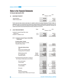For the year ended June 30, 2015

| 20. | <b>INVESTMENT PROPERTY</b>                  | 2015<br>(Rupees in "000") | 2014              |
|-----|---------------------------------------------|---------------------------|-------------------|
|     | Opening balance<br>Addition during the year | 431.615                   | 408,135<br>23,480 |
|     |                                             | 431,615                   | 431,615           |

The fair value has been arrived on the basis of a valuation carried out by Empire Enterprises (Private) Limited, an independent valuer not connected with the company and on approved panel of Pakistan Banks' Association as at 30 June 2015. The valuation was arrived at by reference to market evidence of transaction price for similar land. Previously, the valuation was carried out by Empire Enterprises (Private) Limited as at 30 June 2014.

| 21. |       | <b>LONG TERM INVESTMENTS</b>                                                                     | <b>Notes</b>                          | 2015<br>(Rupees in "000")            | 2014                                 |
|-----|-------|--------------------------------------------------------------------------------------------------|---------------------------------------|--------------------------------------|--------------------------------------|
|     |       | Investment in Imperial Sugar Mills Limited<br>(related party)<br>Investment - available for sale | 21.01<br>21.02                        | 246,441<br>1,010<br>247,451          | 289,516<br>1,086<br>290,602          |
|     | 21.01 | <b>Investment in Imperial Sugar Limited (IMSL)</b><br>- related party                            |                                       |                                      |                                      |
|     |       | At equity method - Quoted<br>Being significant influence over IMSL<br>Fully paid ordinary shares |                                       | 246,441                              | 289,516                              |
|     |       | <b>Fully paid ordinary shares</b>                                                                |                                       | 246,441                              | 289,516                              |
|     |       | Cost<br>Share of post acquisition profits<br>Carrying amount of investment                       |                                       | 100,459<br>145,982<br>246,441        | 100,459<br>189,057<br>289,516        |
|     |       | Market value per share<br>No. of shares held<br>Ownership interest                               | <b>Rupees</b><br>Number<br>percentage | 5.00<br>15,862,960<br>16.02%         | 8.77<br>15,862,960<br>16.02%         |
|     |       | Summarised financial information in respect of<br>the Company's related party is set out below:  |                                       |                                      |                                      |
|     |       | Non-current assets<br><b>Current assets</b>                                                      |                                       | 3,281,318<br>1,356,979<br>4,638,297  | 3,239,127<br>1,990,560<br>5,229,687  |
|     |       | Non-current liabilities<br><b>Current liabilities</b>                                            |                                       | 654,782<br>2,450,419<br>3,105,201    | 321,474<br>3,100,998<br>3,422,472    |
|     |       | Net assets                                                                                       |                                       | 1,533,096                            | 1,807,215                            |
|     |       | Revenue<br>Loss for the year/period<br>Company's share in IMSL's loss for the year               |                                       | 1,844,102<br>(268, 885)<br>(43, 075) | 4,397,475<br>(109, 139)<br>(17, 484) |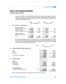For the year ended June 30, 2015

Due to non availability of annual audited financial statements of Imperial Sugar Limited at the date of authorization for issue of these financial statements, equity method has been applied on latest available unaudited financial statements for nine month ended 30 June 2015/2014 and audited financial statement for the quarter ended 30 September 2014/2013.

| 2015                  | 2014 | 2015 | 2014              |
|-----------------------|------|------|-------------------|
| (No. of Shares/Bonds) |      |      | (Rupees in "000") |

### **21.02 Investment - available for sales**

| Quoted - at fair value            |         |         |       |       |
|-----------------------------------|---------|---------|-------|-------|
| Colony Woolen Mills Limited       | 70,506  | 70.506  | 282   | 282   |
| Azgard Nine Limited               | 67,457  | 67,457  | 328   | 404   |
| Colony Thal Textile Mills Limited | 6       |         |       |       |
|                                   | 137.969 | 137,969 | 610   | 686   |
| Unquoted - at cost                |         |         |       |       |
| Government Compensation           |         |         |       |       |
| <b>Bonds</b>                      | 400     | 400     | 400   | 400   |
|                                   | 138,369 | 138,369 | 1.010 | 1,086 |

Government Compensation Bonds for Rs. 0.4 million (2014: Rs. 0.4 million) are receivable from the Federal Government in respect of shares held by the Company in the share capital of Multan Electric Supply Company Limited. The Company has challenged the withholding of these Bonds through writ petition filed in the Lahore High Court, Lahore, which is still pending for final adjudication.

|     |                                      | <b>Notes</b> | 2015              | 2014      |
|-----|--------------------------------------|--------------|-------------------|-----------|
|     |                                      |              | (Rupees in "000") |           |
| 22. | STORES, SPARE PARTS AND LOOSE TOOLS  |              |                   |           |
|     | <b>Stores</b>                        |              | 196,028           | 177,185   |
|     | Spares                               |              | 63,967            | 68,454    |
|     | Loose tools                          |              | 491               | 478       |
|     |                                      |              | 260,486           | 246,117   |
|     | Provision for slow moving items      |              | (6, 512)          | (4, 570)  |
|     |                                      |              | 253,974           | 241,547   |
| 23. | <b>STOCK IN TRADE</b>                |              |                   |           |
|     | <b>Textile</b>                       |              |                   |           |
|     | Raw material                         |              | 613,612           | 1,128,312 |
|     | Work in process                      |              | 414,652           | 489,205   |
|     | Finished goods                       |              | 3,713,376         | 3,065,223 |
|     |                                      |              | 4,741,640         | 4,682,740 |
|     | <b>Real Estate Business</b>          |              |                   |           |
|     | Land held for development and resale | 23.01        | 496,747           | 496,747   |
|     |                                      |              | 5,238,387         | 5,179,487 |

**23.01** This includes 65.9 kanals of land mortgaged with bank as mentioned in note 9.09.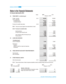For the year ended June 30, 2015

|     |                                      |                                                          | <b>Notes</b> | 2015              | 2014             |
|-----|--------------------------------------|----------------------------------------------------------|--------------|-------------------|------------------|
| 24. | <b>TRADE DEBTS - considered good</b> |                                                          |              | (Rupees in "000") |                  |
|     |                                      | Foreign - secured<br>Local - unsecured:                  | 24.01        | 369,564           | 356,806          |
|     |                                      | Considered good                                          |              | 146,114           | 640,291          |
|     |                                      | Considered doubtful                                      |              | 4,506             | 12,502           |
|     |                                      |                                                          |              | 520,184           | 1,009,599        |
|     |                                      | Provision for doubtful trade debts                       | 24.02        | (4, 506)          | (12, 502)        |
|     | 24.01                                | These are secured against irrevocable letters of credit. |              | 515,678           | 997,097          |
|     | 24.02                                | Provision for doubtful debts                             |              |                   |                  |
|     |                                      | Opening balance                                          |              | 12,502            | 9,595            |
|     |                                      | Provision made during the year                           |              | 4,506             | 2,907            |
|     |                                      |                                                          |              | 17,008            | 12,502           |
|     |                                      | Less: Provision written off during the year              |              | 12,502            |                  |
|     |                                      | Closing balance                                          |              | 4,506             | 12,502           |
| 25. |                                      | <b>LOANS AND ADVANCES</b>                                |              |                   |                  |
|     |                                      | <b>Considered good:</b><br>Loans to employees            |              | 15,936            | 10,863           |
|     |                                      | Advances to:<br>-Suppliers                               |              | 83,669            | 160,468          |
|     |                                      | -Letters of credit fee, margin and expenses              |              | 90,542            | 13,051           |
|     |                                      | -Contractors                                             |              | 781               | 568              |
|     |                                      |                                                          |              | 190,928           | 184,950          |
| 26. |                                      | <b>TRADE DEPOSITS AND SHORT TERM PREPAYMENTS</b>         |              |                   |                  |
|     |                                      |                                                          |              |                   |                  |
|     |                                      | Trade deposits                                           |              | 78,098            | 57,856           |
|     |                                      | Other receivables                                        |              | 14,162<br>92,260  | 21,589<br>79,445 |
|     |                                      |                                                          |              |                   |                  |
| 27. |                                      | <b>OTHER FINANCIAL ASSETS</b>                            |              |                   |                  |
|     |                                      | Other financial assets                                   | 27.01        | 33                | 30               |
|     |                                      |                                                          |              |                   |                  |

**27.01** These include shares of listed companies classified as held for trading through profit and loss account.

| 2015 | 2014<br>(No. of Shares/Bonds) |                                             | 2015<br>(Rupees in "000") | 2014 |
|------|-------------------------------|---------------------------------------------|---------------------------|------|
|      |                               | Quoted - at fair value                      |                           |      |
| 189  | 189                           | Oil and Gas Development Corporation Limited | 11                        | 23   |
| 250  | 250                           | Maple Leaf Cement Factory Limited           | 22                        |      |
| 439  | 439                           |                                             | 33                        | 30   |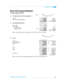For the year ended June 30, 2015

|     |                                               | <b>Notes</b> | 2015                          | 2014                          |
|-----|-----------------------------------------------|--------------|-------------------------------|-------------------------------|
| 28. | TAX REFUNDS DUE FROM THE GOVERNMENT           |              | (Rupees in "000")             |                               |
|     | Sales tax<br>Income tax refundable/adjustable |              | 209,267<br>414,428<br>623,695 | 214,934<br>348,705<br>563,639 |
| 29. | <b>CASH AND BANK BALANCES</b>                 |              |                               |                               |
|     | Cash in hand<br>Cash at banks                 |              | 832                           | 139                           |
|     | -in current accounts<br>-in deposit accounts  | 29.01        | 50,161<br>7,278<br>58,271     | 51,485<br>13,257<br>64,881    |

**29.01** These carry profit/mark-up ranging from 7% to 7.50 % (2014: 4.50 % to 4.70%) p.a.

| 30. | <b>SALES</b>                                            | 2015                                                           | 2014<br>(Rupees in "000")                                      |
|-----|---------------------------------------------------------|----------------------------------------------------------------|----------------------------------------------------------------|
|     | Local<br>Yarn and Fabric<br>Raw material sales<br>Waste | 10,675,316<br>169,290<br>135,724<br>10,980,330                 | 12,962,030<br>713,291<br>328,729<br>14,004,050                 |
|     | Export<br>Yarn<br>Fabric<br>Commission                  | 2,730,656<br>2,289,055<br>5,019,711<br>16,000,041<br>(42, 936) | 3,427,372<br>4,923,479<br>8,350,851<br>22,354,901<br>(68, 956) |
|     |                                                         | 15,957,105                                                     | 22,285,945                                                     |

**30.01** Sales are shown net of sales tax amounting to Rs. 235,614 (2014: 266,940) thousand.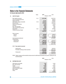For the year ended June 30, 2015

|     |                                       | <b>Notes</b> | 2015              | 2014          |
|-----|---------------------------------------|--------------|-------------------|---------------|
| 31. | <b>COST OF SALES</b>                  |              | (Rupees in "000") |               |
|     | Raw material consumed                 | 31.01        | 10,707,469        | 15,507,010    |
|     | Cost of purchased goods sold          |              |                   | 286,476       |
|     | Stores consumed                       |              | 712,147           | 568,526       |
|     | Staff salaries, wages and benefits    | 31.02        | 1,304,219         | 1,474,670     |
|     | Power and fuel                        |              | 2,131,733         | 2,657,215     |
|     | Repair and maintenance                |              | 18,730            | 23,708        |
|     | Insurance                             |              | 58,619            | 65,921        |
|     | Rent, rates and taxes                 |              | 3,502             | 2,465         |
|     | Other manufacturing expenses          |              | 2,528             | 7,062         |
|     | Depreciation                          | 19.01        | 824,335           | 826,022       |
|     | Outside processing charges            |              | 43,113            | 45            |
|     |                                       |              | 15,806,395        | 21,419,120    |
|     | Work in process:                      |              |                   |               |
|     | Opening                               |              | 489,205           | 395,021       |
|     | Closing                               |              | (414, 652)        | (489, 205)    |
|     |                                       |              | 74,553            | (94, 184)     |
|     | Cost of goods manufactured            |              | 15,880,948        | 21,324,936    |
|     | Finished goods:                       |              |                   |               |
|     | Opening stock                         |              | 3,065,223         | 2,352,070     |
|     | Closing stock                         |              | (3,713,376)       | (3,065,223)   |
|     |                                       |              | (648, 153)        | (713, 153)    |
|     |                                       |              | 15,232,795        | 20,611,783    |
|     |                                       |              |                   |               |
|     | <b>Raw material consumed</b><br>31.01 |              |                   |               |
|     | Opening stock                         |              | 1,128,312         | 1,808,194     |
|     | Purchases including purchase expenses |              | 10,192,769        | 14,827,128    |
|     |                                       |              | 11,321,081        | 16,635,322    |
|     | Closing stock                         |              | (613, 612)        | (1, 128, 312) |
|     |                                       |              | 10,707,469        | 15,507,010    |

**31.02** Salaries, wages and other benefits include provision for staff retirement benefits for the year Rs. 39,604 (2014: Rs. 42,603) thousand.

| 32. | <b>DISTRIBUTION COST</b>                                                                                                                          | 2015<br>(Rupees in "000")                                               | 2014                                                                       |
|-----|---------------------------------------------------------------------------------------------------------------------------------------------------|-------------------------------------------------------------------------|----------------------------------------------------------------------------|
|     | Staff salaries and benefits<br>Rent, rate and taxes<br>Freight<br>Telecommunication<br>Export forwarding charges<br>Bank charges<br><b>Others</b> | 7,422<br>982<br>75,092<br>4,107<br>158,813<br>1,706<br>2,286<br>250,408 | 12,240<br>1,531<br>80,557<br>3,487<br>207,465<br>3,493<br>6,663<br>315,436 |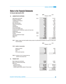For the year ended June 30, 2015

|     |                                                          | <b>Notes</b> | 2015    | 2014              |
|-----|----------------------------------------------------------|--------------|---------|-------------------|
| 33. | <b>ADMINISTRATIVE EXPENSES</b>                           |              |         | (Rupees in "000") |
|     | Staff salaries and benefits                              | 33.01        | 115,928 | 113,701           |
|     | Printing and stationery                                  |              | 1,316   | 911               |
|     | Travelling and conveyance                                |              | 17,637  | 16,878            |
|     | Communication                                            |              | 3,785   | 5,571             |
|     | Rent, rates and taxes                                    |              | 1,706   | 880               |
|     | Repair and maintenance                                   |              | 22,238  | 19,192            |
|     | Insurance                                                |              | 1,236   | 3,173             |
|     | Advertisement                                            |              | 99      | 236               |
|     | Fee and subscription                                     |              | 4,097   | 8,326             |
|     | Provision for doubtful debts                             |              | 4,506   | 2,907             |
|     | Provision for slow moving stores, spares and loose tools |              | 1,942   | 1,897             |
|     | Entertainment                                            |              | 6,807   | 6,174             |
|     | Auditors' remuneration                                   | 33.02        | 2,700   | 2,675             |
|     | Donation                                                 | 33.03        | 6,968   | 8,193             |
|     | Legal and professional charges                           |              | 5,876   | 6,349             |
|     | Depreciation                                             | 19.01        | 14,242  | 11,764            |
|     | <b>Others</b>                                            |              | 1,350   | 11,183            |
|     |                                                          |              | 212,433 | 220,010           |

**33.01** Salaries, wages and other benefits include provision for staff retirement benefits for the year Rs. 9,654 (2014: 10,651) thousand.

|                                                                                                                                                                                             | 2015                                                         | 2014<br>(Rupees in "000")                                   |
|---------------------------------------------------------------------------------------------------------------------------------------------------------------------------------------------|--------------------------------------------------------------|-------------------------------------------------------------|
| 33.02 Auditors' remuneration                                                                                                                                                                |                                                              |                                                             |
| Statutory audit fee<br>Review fee<br><b>CCG</b><br>Out of pocket expenses                                                                                                                   | 2,400<br>200<br>50<br>50<br>2,700                            | 2,400<br>175<br>50<br>50<br>2,675                           |
| No director or his / her spouse had any<br>33.03<br>interest in the donees' fund.<br><b>FINANCE COST</b>                                                                                    |                                                              |                                                             |
| Bank charges and commission<br>Mark-up on inland bill discounting<br>Mark-up on;<br>- Long term finance<br>- Short term borrowings<br>- Liabilities against assets subject to finance lease | 49,454<br>18,637<br>571,387<br>503,427<br>7,463<br>1,082,277 | 44,361<br>9,698<br>894,619<br>518,593<br>6,791<br>1,420,003 |
|                                                                                                                                                                                             | 1,150,368                                                    | 1,474,062                                                   |

**34. FINANCE COST**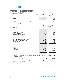For the year ended June 30, 2015

| 35. | <b>OTHER OPERATING CHARGES</b> | <b>Notes</b> | 2015<br>(Rupees in "000")        | 2014             |
|-----|--------------------------------|--------------|----------------------------------|------------------|
|     | Sales tax                      | 35.01        | $\blacksquare$<br>$\blacksquare$ | 15.000<br>15.000 |

**35.01** The sales tax had been paid at the rate of 2% of the value of total supplies through special return as required by S.R.O. 179 (1)/ 2013 issued by the Federal Board of Revenue.

|     |                                                                                                                                                                                                     | 2015                                               | 2014                                     |
|-----|-----------------------------------------------------------------------------------------------------------------------------------------------------------------------------------------------------|----------------------------------------------------|------------------------------------------|
| 36. | <b>OTHER INCOME</b>                                                                                                                                                                                 |                                                    | (Rupees in "000")                        |
|     | Income from financial assets<br>Profit on deposits with banks<br>Exchange gain - unrealised<br>Exchange gain - realised<br>Amortization of deferred mark-up<br>Gain on remeasurement of investments | 811<br>24,860<br>61,369<br>3                       | 2,070<br>2,293<br>32,536<br>286,001<br>4 |
|     | Income from other than financial assets<br>Gain on sale of property, plant and equipment<br>Share of loss from investment in ISUML<br>Miscellaneous income                                          | 527<br>(43, 075)<br>2,553<br>47,048                | 1,859<br>(17, 484)<br>9,384<br>316,663   |
| 37. | <b>TAXATION</b>                                                                                                                                                                                     |                                                    |                                          |
|     | Taxation<br>-Current year<br>-Prior years<br>Deferred                                                                                                                                               | 163,736<br>(158, 384)<br>5,352<br>49,554<br>54,906 | 200,600<br>200,600<br>200,600            |

- Income tax return has been filed to the income tax authorities up to and including tax year 2014 under the provisions of the Income Tax Ordinance, 2001.

- Provision for taxation has been made in accordance with section 154 and 113 of the Income Tax Ordinance, 2001 ("The Ordinance"). There is no relation between aggregate tax expense and accounting profit. Accordingly no numerical reconciliation has been presented.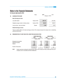For the year ended June 30, 2015

| 38. | <b>EARNINGS PER SHARE</b>                  | <b>Notes</b>   | 2015<br>(Rupees in "000") | 2014       |
|-----|--------------------------------------------|----------------|---------------------------|------------|
|     | <b>Basic Earnings per share:</b>           |                |                           |            |
|     | Loss after taxation                        | Rupees ('000') | (896, 757)                | (234, 283) |
|     | Weighted average number of ordinary shares | Number ('000') | 498,010                   | 498,010    |
|     | Loss per share - basic and diluted         | Rupees         | (1.80)                    | (0.47)     |

### **Diluted Earnings per share:**

There is no dilutive effect on the basic earnings per share of the company because the company has no outstanding potential ordinary share.

### **39. REMUNERATION OF CHIEF EXECUTIVE, DIRECTORS AND EXECUTIVES**

|                         | <b>CHIEF EXECUTIVE</b> |       | <b>EXECUTIVES</b> |        |
|-------------------------|------------------------|-------|-------------------|--------|
|                         | 2015                   | 2014  | 2015              | 2014   |
|                         | Rupees ('000')         |       | Rupees ('000')    |        |
| Managerial remuneration | 5,455                  | 5,455 | 26,164            | 24,673 |
| Retirement benefits     | 455                    | 435   | 2,180             | 1,284  |
| Medical                 | 545                    | 545   | 2,616             | 2,928  |
|                         | 6,455                  | 6,435 | 30,960            | 28,885 |
| Number of Executives    |                        |       | 34                | 34     |

**39.01** Certain executives including the Chief Executive Officer of the company are also provided with free use of Company's cars in accordance with their entitlements.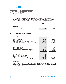For the year ended June 30, 2015

### **40. TRANSACTIONS WITH RELATED PARTIES**

The Company in the normal course of business carries out transactions with various related parties which comprise of associated undertakings, directors, key management personnel and post employment benefits plan. Remuneration of Chief Executive Officer is disclosed in note 39. Other significant transactions with related parties are as follows:

|     |                                                                  | 2015              | 2014       |
|-----|------------------------------------------------------------------|-------------------|------------|
|     |                                                                  | (Rupees in "000") |            |
|     | <b>Related parties</b>                                           |                   |            |
|     |                                                                  |                   |            |
|     | Contribution to provident fund trust                             | 15,660            | 10,200     |
|     |                                                                  |                   |            |
|     |                                                                  |                   |            |
|     |                                                                  | 2015              | 2014       |
| 41. | PLANT CAPACITY AND ACTUAL PRODUCTION                             |                   |            |
|     | <b>Spinning division:</b>                                        |                   |            |
|     | Ring end spinning:                                               |                   |            |
|     | Total number of shifts                                           | 1,035             | 915        |
|     | Number of spindles installed                                     | 221,656           | 221,656    |
|     | Number of spindles worked                                        | 198,865           | 209,553    |
|     | Installed capacity after conversion into 20/S count (Kgs.)       | 75,526,500        | 75,526,500 |
|     | Actual production of yarn after conversion into 20/S count (Kgs) | 62,184,599        | 60,531,235 |
|     |                                                                  |                   |            |
|     | Open end spinning:                                               |                   |            |
|     | Total number of shifts                                           | 1,035             | 1,095      |
|     | Number of rooters installed                                      | 2,880             | 2,880      |
|     | Number of rooters worked                                         | 2,263             | 2,417      |
|     | Installed capacity after conversion into 20/S count (Kgs.)       | 3,996,199         | 3,996,199  |
|     | Actual production of yarn after conversion into 20/S count (Kgs) | 2,753,430         | 3,786,593  |
|     |                                                                  |                   |            |
|     | <b>Weaving Division:</b><br>Total number of shifts               | 1,045             | 915        |
|     | Number of weaving machines-installed                             | 419               | 419        |
|     | Number of weaving machines-worked                                | 370               | 419        |
|     | Installed capacity after conversion into 60 picks (Lbs)          | 33,015,504        | 33,015,504 |
|     | Actual production of fabric after conversion into 60 picks (Lbs) | 26,463,942        | 26,290,232 |
|     |                                                                  |                   |            |

### **Reason for shortfall**

It is difficult to describe precisely the production capacity in spinning/weaving mills since it fluctuates widely depending on various factors such as count of yarn spun, spindles and twist, and fabric pattern. It also varies according to the pattern of production adopted in a particular year.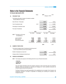For the year ended June 30, 2015

| 42. | <b>PROVIDENT FUND</b>                                                                                            |                                     | <b>Notes</b>                          | 2015<br>(Rupees in "000")           | 2014                                  |
|-----|------------------------------------------------------------------------------------------------------------------|-------------------------------------|---------------------------------------|-------------------------------------|---------------------------------------|
|     | The following information is based on the latest un-audited<br>financial statement of the trust:                 |                                     |                                       |                                     |                                       |
|     | Size of the fund - Total assets                                                                                  |                                     |                                       | 98,271                              | 76,533                                |
|     | Cost of investments made                                                                                         |                                     | 42.01                                 | 66,036                              | 61,257                                |
|     | Percentage of investments made                                                                                   |                                     |                                       | 67.20%                              | 80.00%                                |
|     | Fair value of investments                                                                                        |                                     |                                       | 66,036                              | 61,257                                |
|     |                                                                                                                  |                                     | 2015                                  |                                     | 2014                                  |
|     | The break-up of fair value<br>42.01<br>of investments is:                                                        | Rs. ("000")                         | Percentage                            | Rs. ("000")                         | Percentage                            |
|     | Loan to members<br><b>Bank balances</b><br>Government securities                                                 | 23,045<br>8,366<br>34,625<br>66,036 | 34.90%<br>12.67%<br>52.43%<br>100.00% | 20,281<br>9,927<br>31,049<br>61,257 | 33.11%<br>16.21%<br>50.69%<br>100.00% |
| 43. | <b>NUMBER OF EMPLOYEES</b>                                                                                       |                                     |                                       | 2015                                | 2014                                  |
|     | The total and average number of employees during the year and<br>as at 30 June 2015/30 June 2014 are as follows: |                                     |                                       |                                     |                                       |
|     | Number of employees as at year end                                                                               |                                     |                                       | 7,375                               | 7,978                                 |
|     | Average number of employees during the year                                                                      |                                     |                                       | 7,921                               | 9,357                                 |

### **44. FINANCIAL INSTRUMENTS**

**44.01** The Company has exposure to the following risks from its use of financial instruments:

- **Credit risk**
- **Liquidity risk**
- **Market risk**

This note presents information about the Company's exposure to each of the above risks, the Company's objectives, policies and processes for measuring and managing risk. Further quantitative disclosures are included throughout these financial statements.

The Board of Directors has overall responsibility for the establishment and oversight of the Company's risk management framework. The Board is responsible for developing and monitoring the Company's risk management policies.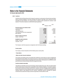For the year ended June 30, 2015

### **44.02 Credit risk**

Credit risk is the risk of financial loss to the Company if a customer or counter party to a financial instrument fails to meet its contractual obligations, and arises principally from deposits, trade debts, loans, advances and other receivables and bank balances. The carrying amount of financial assets represents the maximum credit exposure. The maximum exposure to credit risk at the reporting date was:

|                                           | 2015    | 2014              |
|-------------------------------------------|---------|-------------------|
|                                           |         | (Rupees in "000") |
|                                           |         |                   |
| Financial assets as per balance sheet     |         |                   |
| Long term deposits                        | 49,650  | 58,193            |
| Trade debts                               | 520,184 | 1,009,599         |
| Loans and advances                        | 15,936  | 10,863            |
| Trade deposits and short term prepayments | 92,260  | 79,445            |
| <b>Bank balances</b>                      | 57,439  | 64,742            |
|                                           |         |                   |
| <b>Held for trading Investments</b>       |         |                   |
| Quoted - at fair value                    | 33      | 30                |
|                                           |         |                   |
|                                           |         |                   |
| Available for sale Investments            |         |                   |
| Quoted - at fair value                    | 610     | 686               |
| Unquoted - at cost                        | 400     | 400               |
|                                           | 736,512 | 1,223,958         |

The Company's credit risk exposures are categorized under the following headings:

#### **Counter parties**

The Company conducts transactions with the following major counter parties.

#### **- Trade debtors**

#### **- Banks and other financial institutions**

The Company has adopted a policy of only dealing with creditworthy counter parties as a means of mitigating the risk of financial loss from defaults. The Company's exposure is continuously monitored and the aggregate value of transactions concluded is spread amongst approved counter parties. Credit exposure is controlled by counter party limits that are reviewed and approved by the management annually.

#### **Credit risk related to trade debts**

Trade debts are essentially due from local and foreign customers against sale of yarn, fabric and waste material and the Company does not expect these counterparties to fail to meet their obligations. The majority of sales to the Company's customers are made on specific terms. Customer credit risk is managed subject to established policies, procedures and controls relating to customer credit risk management. Credit limits are established for all customers based on past experience with the customer. Outstanding customer receivables are regularly monitored and any shipments to foreign customers are generally covered by letters of credit.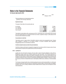For the year ended June 30, 2015

| 2015 |                   | 2014 |
|------|-------------------|------|
|      | (Rupees in "000") |      |

Trade receivables are non-interest bearing and are generally on 60 to 90 days credit terms.

#### **Impairment losses**

The aging of trade debts at the reporting date was

| 0 to 30 days    | 694.286 | 772.950   |
|-----------------|---------|-----------|
| 31 to 180 days  | 118,718 | 224.179   |
| 181 to 360 days | 2.674   | 2.438     |
| Over one year   | 4.506   | 10.032    |
|                 | 820.184 | 1.009.599 |

Trade debtors include debtors with a carrying amount of Rs. 125.89 million (2014: 236.65 million) which are past due at the reporting date but not impaired as there has not been a significant change in credit quality and the amounts are still considered recoverable.

### **Concentration of credit risk**

Trade debts consist of a large number of diversified customers, spread across geographical areas. Ongoing credit evaluation is performed on the financial condition of accounts receivable where appropriate. Geographically, there is no concentration of credit risk.

### **Credit risk related to banks and other financial institutions**

Credit risk on balances with banks is managed by management in accordance with the Company's policy. Excess funds are placed in deposits with reputable banks and financial institutions.

### **44.03 Liquidity risk**

Liquidity risk is the risk that the Company will not be able to meet its financial obligations as they fall due. Management closely monitors the Company's liquidity and cash flow position. This includes maintenance of balance sheet liquidity ratios, debtors and creditors concentration both in terms of the overall funding mix and avoidance of undue reliance on large individual customer. Management has rescheduled the loan financing with The Bank of Punjab and is also in process of rescheduling with National Bank of Pakistan. Furthermore, support from sponsors in the form of interest free loans to meet liquidity shortfall is also contributory to minimize liquidity risk.

The Company manages liquidity risk by maintaining adequate reserves and borrowing facilities, by continuously monitoring forecast and actual cash flows and matching the maturity profiles of financial assets and liabilities. Included in note 14.02 is a listing of additional undrawn facilities that the Company has at its disposal to further reduce liquidity risk.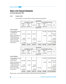For the year ended June 30, 2015

### **44.03.1 Liquidity risk table**

Financial liabilities in accordance with their contractual maturities are presented below:

| June 30, 2015            |                   |           |                    |                   |                              |       |  |
|--------------------------|-------------------|-----------|--------------------|-------------------|------------------------------|-------|--|
| Interest/Mark-up bearing |                   |           |                    |                   | Non interest/Mark-up bearing |       |  |
| Maturity<br>within       | Maturity<br>after | Sub Total | Maturity<br>within | Maturity<br>after | Sub Total                    | Total |  |
| One Year                 | One Year          |           | One Year           | One Year          |                              |       |  |
| Rupees ('000')           |                   |           |                    |                   |                              |       |  |

### **Financial Liabilities**

Financial liabilities measured at amortized cost

Long term finance

Director's subordinated loan

Liabilities against assets

subject to finance lease Short-term borrowings Trade and other payables

Accrued mark up

| 6,509,826 | 8,817,481 | 15,327,307 | 1,705,391 | 4,467,285 |           | 6,172,676 21,499,983 |
|-----------|-----------|------------|-----------|-----------|-----------|----------------------|
| 1,172,999 |           | 1,172,999  |           |           |           | 1,172,999            |
|           |           |            | 1,705,391 |           | 1,705,391 | 1,705,391            |
| 4,315,040 |           | 4,315,040  |           |           |           | 4,315,040            |
| 26,665    | 64,178    | 90,843     |           |           |           | 90,843               |
|           |           |            |           | 120,000   | 120,000   | 120,000              |
| 995,122   | 8,753,303 | 9,748,425  |           |           |           | 9,748,425            |
|           |           |            |           | 4,347,285 | 4,347,285 | 4,347,285            |

| June 30, 2014            |                   |           |                              |                   |           |       |  |
|--------------------------|-------------------|-----------|------------------------------|-------------------|-----------|-------|--|
| Interest/Mark-up bearing |                   |           | Non interest/Mark-up bearing |                   |           |       |  |
| Maturity<br>within       | Maturity<br>after | Sub Total | Maturity<br>within           | Maturity<br>after | Sub Total | Total |  |
| One Year                 | One Year          |           | One Year                     | One Year          |           |       |  |
| Rupees ('000')           |                   |           |                              |                   |           |       |  |

### **Financial Liabilities**

|                                                     | 7,150,129 | 7,391,587 | 14,541,716 | 1,381,444 | 4,329,295 | 5,710,739 20,252,455 |           |
|-----------------------------------------------------|-----------|-----------|------------|-----------|-----------|----------------------|-----------|
| Accrued mark up                                     | 948,806   |           | 948,806    |           |           |                      | 948,806   |
| Trade and other payables                            |           |           |            | 1,381,444 |           | 1,381,444            | 1,381,444 |
| Short-term borrowings                               | 4,495,475 |           | 4,495,475  |           |           |                      | 4,495,475 |
| subject to finance lease                            | 35,780    | 50,581    | 86,361     |           |           |                      | 86,361    |
| Liabilities against assets                          |           |           |            |           |           |                      |           |
| Director's subordinated loan                        |           |           |            |           | 120,000   | 120,000              | 120,000   |
| Long term finance                                   | 1,670,068 | 7,341,006 | 9,011,074  |           |           |                      | 9,011,074 |
| Financial liabilities measured<br>at amortized cost |           |           |            |           | 4,209,295 | 4,209,295            | 4,209,295 |
|                                                     |           |           |            |           |           |                      |           |

Effective markup / interest rates have been disclosed in respective notes to the financial statements.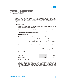For the year ended June 30, 2015

### **44.04 Market risk**

Market risk is the risk that changes in market prices, such as foreign exchange rates, interest rates and equity prices will affect the Company's income or the value of its holdings of financial instruments. The objective of market risk management is to manage and control market risk exposures within acceptable parameters, while optimizing returns.

### **44.04.1Currency risk**

Currency risk is the risk that the fair value or future cash flows of a financial instrument will fluctuate because of changes in foreign exchange rates.

In respect of other monetary assets and liabilities denominated in foreign currencies, the Company ensures that its net exposure is kept to an acceptable level by buying or selling foreign currencies at spot rates when necessary to address short-term imbalances.

#### **Exposure to currency risk**

The Company is exposed to currency risk on trade debts which are denominated in currency other than the functional currency of the Company. The Company's exposure to foreign currency risk is as follows:

|                                                                        | 2015           |               |  |                | 2014   |               |
|------------------------------------------------------------------------|----------------|---------------|--|----------------|--------|---------------|
|                                                                        | Rupees ("000") | US \$ ("000") |  | Rupees ("000") |        | US \$ ("000") |
| Trade debts                                                            | 369,564        | 3,634         |  | 356,806        |        | 3,613         |
|                                                                        |                |               |  |                |        |               |
|                                                                        |                |               |  | 2015           |        | 2014          |
|                                                                        |                |               |  |                | Rupees |               |
| The following US Dollar exchange rates<br>were applied during the year |                |               |  |                |        |               |
| Average rate                                                           |                |               |  | 101.70         |        | 102.65        |
| Balance sheet date rate                                                |                |               |  | 101.69         |        | 98.75         |

#### **Sensitivity analysis - foreign currency**

At 30 June 2015, if the Rupee had weakened / strengthened by 5% against the US Dollar with all other variables held constant, Profit for the year would have been lower / higher by Rs. 18.478 million (2014: 17.84 million), as a result of foreign exchange gains / losses on translation of foreign currency trade debts. Profit / (loss) is more sensitive to movement in Rupee / foreign currency exchange rates in 2015 than 2014 because of average increase in foreign currency exchange rate during the year.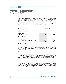For the year ended June 30, 2015

### **44.04.2 Interest rate risk**

Interest / mark-up rate risk arises from the possibility that changes in interest / mark-up rates will affect the value of financial instruments. The Company has significant amount of interest based financial assets and financial liabilities which are largely based on variable interest / mark-up rates, therefore the Company has to manage the related finance cost which exposes it to the risk of 01 month, 3 months and 6 months KIBOR. Since the impact on interest rate exposure is significant to the Company, management is considering the alternative arrangement to manage interest rate exposure in future.

| <b>Fixed rate instruments</b>                       | 2014              |            |  |
|-----------------------------------------------------|-------------------|------------|--|
| There are no fixed rate instruments.                | 2015              |            |  |
| Variable rate instruments                           | (Rupees in "000") |            |  |
| <b>Financial assets</b><br>Cash in deposit accounts | 7,278             | 13,257     |  |
| <b>Financial liabilities</b>                        | 8,753,303         | 9,011,074  |  |
| Long term finance                                   | 4,315,040         | 4,495,475  |  |
| Short term finance                                  | 64,178            | 86,361     |  |
| Liabilities against assets subject to finance lease | 13,132,521        | 13,592,910 |  |

#### **Sensitivity analysis - interest rate**

If interest rates had been 1 % higher / lower and all other variables were held constant, the Company's profit / (loss) for the year ended 30 June 2015 would have decreased / increased by Rs. 131.25 (2014: Rs. 135.79) million. This is mainly attributable to the Company's exposure to interest rates on its variable rate financial instruments.

#### **44.04.3Other price risk**

Other price risk is the risk that the fair value or future cash flows from a financial instrument will fluctuate due to changes in market prices (other than those arising from interest rate risk or currency risk), whether those changes are caused by factors specific to the individual financial instrument or its issuer, or factors affecting all similar financial instruments traded in the market. The Company is not materially exposed to other price risk on financial assets and liabilities.

### **44.04.4Financial instruments by category**

The Company finances its operation through equity, borrowings and management of working capital with a view to maintaining an approximate mix between various sources of finance to minimize risk. Taken as a whole, the Company's risk arising from financial instruments is limited as there is no significant exposure to price and cash flow risk in respect of such instruments.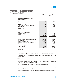For the year ended June 30, 2015

|                                                                                                                                                                                                                                                                                   | 2015                                                                                             | 2014                                                                                           |
|-----------------------------------------------------------------------------------------------------------------------------------------------------------------------------------------------------------------------------------------------------------------------------------|--------------------------------------------------------------------------------------------------|------------------------------------------------------------------------------------------------|
|                                                                                                                                                                                                                                                                                   |                                                                                                  | (Rupees in "000")                                                                              |
| Financial assets as per balance sheet<br>Loan and receivable                                                                                                                                                                                                                      |                                                                                                  |                                                                                                |
| Long-term deposits<br>Trade debts<br>Loans and advances<br>Trade deposits and short term prepayments<br><b>Bank balances</b>                                                                                                                                                      | 49,650<br>520,184<br>15,936<br>92,260<br>57,439                                                  | 58,193<br>1,009,599<br>10,863<br>79,445<br>64,742                                              |
| <b>Held for trading Investments</b><br>Quoted - at fair value                                                                                                                                                                                                                     | 33                                                                                               | 30                                                                                             |
| <b>Available for sale Investments</b><br>Quoted - at fair value<br>Unquoted - at cost                                                                                                                                                                                             | 610<br>400<br>736,512                                                                            | 686<br>400<br>1,223,958                                                                        |
| Financial liabilities as per balance sheet<br>Financial liabilities measured at amortized cost<br>Long term finance<br>Director' subordinated loan<br>Liabilities against assets subject to finance lease<br>Short-term borrowings<br>Trade and other payables<br>Accrued mark up | 4,347,285<br>9,748,425<br>120,000<br>90,843<br>4,315,040<br>1,705,391<br>1,172,999<br>21,499,983 | 2,122,388<br>9,011,074<br>120,000<br>86,361<br>4,495,475<br>1,381,444<br>948,806<br>18,165,548 |

### **44.05 Fair values**

Fair value is the amount for which an asset could be exchanged, or a liability settled, between knowledgeable willing parties in an arms length transaction other than in a forced or liquidation sale.

The carrying values of all financial assets and liabilities reflected in the financial statements approximate their fair values.

### **44.05.1Fair value hierarchy**

Following are three levels in fair value hierarchy that reflects the significance of the inputs used in measurement of fair values of financial instruments.

Level 1: Quoted prices (unadjusted) in active market for identical assets or liabilities.

Level 2:Inputs other than quoted prices included within level 1 that are observable for the asset or liability, either directly (i.e. as prices) or indirectly (i.e. derived from prices).

Level 3: Inputs for asset or liability that are not based on observable market data (unobservable inputs).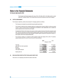For the year ended June 30, 2015

The Company has financial assets at fair value of Rs. 0.36 million (2014: 0.43 million) which is valued under level 1 valuation method. The Company does not have any investment in level 2 and 3 category.

### **45. CAPITAL MANAGEMENT**

The Company's objectives, policies and processes for managing capital are as follows:

- The Company is not subject to any externally imposed capital requirements.
- The Company's objectives when managing capital are to safeguard the Company's ability to continue as a going concern in order to provide returns for shareholders and benefits for other stakeholders and to maintain an optimal capital structure to reduce the cost of capital.
- Consistently with others in the industry, the company monitors capital on the basis of the debt-to-adjusted capital ratio. This ratio is calculated as net debt divided by adjusted capital. Net debt is calculated as total debt (as shown in the balance sheet) less cash and cash equivalents. Adjusted capital comprises all components of equity (i.e., share capital, reserves and unappropriated profit).
- The Company's strategy is to maintain its debt-to-adjusted capital ratio between 40% to 60%. The debt-toadjusted capital ratios at 30 June 2015 and 30 June 2014 were as follows:

|                                                                                                     | 2015<br>(Rupees in "000")                                     | 2014                                                          |
|-----------------------------------------------------------------------------------------------------|---------------------------------------------------------------|---------------------------------------------------------------|
| Total debt<br>Less: Cash and cash equivalents<br>Net debt<br>Total equity<br>Total capital employed | 13,252,521<br>57,439<br>13,195,082<br>8,667,437<br>21,862,519 | 13,712,910<br>64,742<br>13,648,168<br>9,564,270<br>23,212,438 |
| Gearing ratio (%)                                                                                   | 60.35%                                                        | 58.80%                                                        |

### **46. NON ADJUSTING EVENTS AFTER THE BALANCE SHEET DATE**

There were no non-adjusting events after the balance sheet date.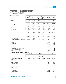For the year ended June 30, 2015

| <b>47. SEGMENT INFORMATION</b>                             | <b>Spinning</b> |               |                       | Weaving       |               | <b>Total Company</b> |  |  |
|------------------------------------------------------------|-----------------|---------------|-----------------------|---------------|---------------|----------------------|--|--|
|                                                            | <b>Jun-15</b>   | <b>Jun-14</b> | <b>Jun-15</b>         | <b>Jun-14</b> | <b>Jun-15</b> | <b>Jun-14</b>        |  |  |
| Sales:                                                     |                 |               | <b>Rupees ('000')</b> |               |               |                      |  |  |
| External                                                   | 11,599,685      | 16,935,970    | 4,357,420             | 5,349,975     | 15,957,105    | 22,285,945           |  |  |
| Inter segment                                              | 215,833         | 652,777       | (215, 833)            | (652, 777)    |               |                      |  |  |
|                                                            | 11.815.518      | 17,588,747    | 4,141,587             | 4,697,198     | 15,957,105    | 22,285,945           |  |  |
| Cost of Sales                                              | 11,299,940      | 16,489,426    | 3,932,855             | 4,122,357     | 15,232,795    | 20,611,783           |  |  |
| <b>Gross Profit</b>                                        | 515,578         | 1,099,321     | 208,732               | 574,841       | 724,310       | 1,674,162            |  |  |
| <b>Distribution Cost</b>                                   | 150,245         | 223,960       | 100,163               | 91,476        | 250,408       | 315,436              |  |  |
| <b>Administration Cost</b>                                 | 167,460         | 156,207       | 44,973                | 63,803        | 212,433       | 220,010              |  |  |
|                                                            | 317,705         | 380,167       | 145,136               | 155,279       | 462,841       | 535,446              |  |  |
|                                                            | 197,873         | 719,154       | 63,596                | 419,562       | 261,469       | 1,138,716            |  |  |
| Finance cost                                               | 731,211         | 914,437       | 419,157               | 559,625       | 1,150,368     | 1,474,062            |  |  |
|                                                            | (533, 338)      | (195, 283)    | (355, 561)            | (140, 063)    | (888, 899)    | (335, 346)           |  |  |
| Other operating charges                                    |                 | 15,000        |                       |               |               | 15,000               |  |  |
| Loss before unallocated income and expenses                | (533, 338)      | (210, 283)    | (355, 561)            | (140, 063)    | (888, 899)    | (350, 346)           |  |  |
| Unallocated income and expenses                            |                 |               |                       |               |               |                      |  |  |
| Other Income                                               |                 |               |                       |               | 47,048        | 316,663              |  |  |
| Loss before tax                                            |                 |               |                       |               | (841, 851)    | (33, 683)            |  |  |
| Taxation                                                   |                 |               |                       |               | 54,906        | 200,600              |  |  |
| Loss after tax for the year<br>Other comprehensive income: |                 |               |                       |               | (896, 757)    | (234, 283)           |  |  |
| Remeasurement of staff retirement benefits                 |                 |               |                       |               |               | 1,426                |  |  |
| Loss on remeasurement of investments                       |                 |               |                       |               | (76)          | (25)                 |  |  |
| Total comprehensive loss for the year                      |                 |               |                       |               | (896, 833)    | (232, 882)           |  |  |

#### **Reconciliation of reportable segment assets and liabilities**

|                                        | <b>Spinning</b> |               | Weaving               |               | <b>Total Company</b> |               |
|----------------------------------------|-----------------|---------------|-----------------------|---------------|----------------------|---------------|
|                                        | <b>Jun-15</b>   | <b>Jun-14</b> | <b>Jun-15</b>         | <b>Jun-14</b> | <b>Jun-15</b>        | <b>Jun-14</b> |
|                                        |                 |               | <b>Rupees ('000')</b> |               |                      |               |
| Total assets for reportable segments   | 11,350,812      | 11,343,219    | 8,440,147             | 8,680,147     | 19,790,959           | 20,023,366    |
| <b>Unallocated assets:</b>             |                 |               |                       |               |                      |               |
| Investment property                    |                 |               |                       |               | 431,615              | 431,615       |
| Long term investments                  |                 |               |                       |               | 247,451              | 290,602       |
| Cash and bank balances                 |                 |               |                       |               | 58,271               | 64,881        |
| Other corporate assets                 |                 |               |                       |               | 6,964,605            | 7,304,388     |
| Total assets as per balance sheet      |                 |               |                       |               | 27,492,901           | 28,114,852    |
| <b>Unallocated liabilities:</b>        |                 |               |                       |               |                      |               |
| Directors Subordinated Loan            |                 |               |                       |               | 120,000              | 120,000       |
| Provision for taxation                 |                 |               |                       |               | 163,736              | 226,743       |
| Other corporate liabilities            |                 |               |                       |               | 27,209,165           | 27,768,109    |
| Total liabilities as per balance sheet |                 |               |                       |               | 27,492,901           | 28,114,852    |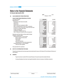For the year ended June 30, 2015

|     |                                                          | 2015              | 2014       |
|-----|----------------------------------------------------------|-------------------|------------|
| 48. | <b>CASH GENERATED FROM OPERATIONS</b>                    | (Rupees in "000") |            |
|     | <b>CASH FLOWS FROM OPERATING ACTIVITIES</b>              |                   |            |
|     | Loss before taxation                                     | (841, 851)        | (33, 683)  |
|     | Adjustments for:                                         |                   |            |
|     | Provision for staff retirement benefits                  | 35,806            | 53,254     |
|     | Depreciation                                             | 838,577           | 837,786    |
|     | Finance cost                                             | 1,150,368         | 1,474,062  |
|     | Share of loss from investment in IMSL                    | 43,075            | 17,484     |
|     | Gain on remeasurement of short term investments          | (3)               | (4)        |
|     | Provision for slow moving stores, spares and loose tools | 1,942             | 4,570      |
|     | Provision for doubtful trade debts                       | 4,506             | 12,502     |
|     | Foreign exchange gain                                    |                   | (2, 293)   |
|     | Amortization of deferred mark up                         | (61, 369)         | (286,001)  |
|     | Gain on disposal of property, plant and equipment        | (527)             | (1, 859)   |
|     |                                                          | 2,012,375         | 2,109,501  |
|     | Operating cash flows before working capital changes      | 1,170,524         | 2,075,818  |
|     | Changes in working capital:                              |                   |            |
|     | (Increase)/Decrease in current assets:                   |                   |            |
|     | Stores, spares and loose tools                           | (14, 369)         | 244        |
|     | Stock-in-trade                                           | (58,900)          | (127, 455) |
|     | Trade debts                                              | 476,913           | 483,661    |
|     | Loans and advances                                       | (5,978)           | 33,484     |
|     | Trade deposits and short term prepayments                | (12, 815)         | 16,195     |
|     | Increase/(Decrease) in current liabilities:              |                   |            |
|     | Trade and other payables                                 | 465,740           | 28,609     |
|     |                                                          | 850,591           | 434,738    |
|     | Cash generated from operations                           | 2,021,115         | 2,510,556  |

### **49. DATE OF AUTHORISATION FOR ISSUE**

These financial statements have been approved and authorized for issue on 09 October 2015 by the Board of Directors of the Company.

### **50. GENERAL**

- Figures have been rounded off to the nearest Rupees in thousand except where stated otherwise.
- Corresponding figures have been rearranged/reclassified, wherever necessary, to facilitate comparison.

\_\_\_\_\_\_\_\_\_\_\_\_\_\_\_\_\_\_\_\_ Director

\_\_\_\_\_\_\_\_\_\_\_\_\_\_\_\_\_\_\_\_ Chief Executive Officer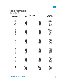## Pattern of Shareholding

As on June 30, 2015

| No. of                  | <b>Shareholding</b> |           | <b>Number of</b>   |  |
|-------------------------|---------------------|-----------|--------------------|--|
| <b>Shareholders</b>     | <b>From</b>         | <b>To</b> | <b>Shares Held</b> |  |
| 243                     | $\mathbf 1$         | 100       | 8,051              |  |
| 431                     | 101                 | 500       | 134,231            |  |
| 455                     | 501                 | 1000      | 358,293            |  |
| 985                     | 1001                | 5000      | 2,592,546          |  |
| 381                     | 5001                | 10000     | 2,855,119          |  |
| 154                     | 10001               | 15000     | 1,917,152          |  |
| 110                     | 15001               | 20000     | 1,930,486          |  |
| 61                      | 20001               | 25000     | 1,407,878          |  |
| 33                      | 25001               | 30000     | 921,441            |  |
| 52                      | 30001               | 35000     | 1,708,516          |  |
| 30                      | 35001               | 40000     | 1,156,108          |  |
| 19                      | 40001               | 45000     | 812,909            |  |
| 19                      | 45001               | 50000     | 931,917            |  |
| $\sqrt{4}$              | 50001               | 55000     | 209,614            |  |
| 19                      | 55001               | 60000     | 1,107,104          |  |
| 10                      | 60001               | 65000     | 629,636            |  |
| $\overline{7}$          | 65001               | 70000     | 479,501            |  |
| 3                       | 70001               | 75000     | 219,234            |  |
| 11                      | 75001               | 80000     | 866,436            |  |
| 1                       | 80001               | 85000     | 85,000             |  |
| $\overline{\mathbf{c}}$ | 85001               | 90000     | 175,496            |  |
| 1                       | 90001               | 95000     | 91,317             |  |
| 10                      | 95001               | 100000    | 990,915            |  |
| $\sqrt{4}$              | 100001              | 105000    | 410,432            |  |
| $\overline{\mathbf{c}}$ | 105001              | 110000    | 213,226            |  |
| 3                       | 110001              | 115000    | 335,152            |  |
| 3                       | 115001              | 120000    | 355,467            |  |
| 5                       | 120001              | 125000    | 615,555            |  |
| 3                       | 125001              | 130000    | 380,340            |  |
| 5                       | 130001              | 135000    | 667,406            |  |
| 3                       | 135001              | 140000    | 415,870            |  |
| 3                       | 140001              | 145000    | 431,560            |  |
| $\overline{c}$          | 145001              | 150000    | 300,000            |  |
| $\mathbf 1$             | 150001              | 155000    | 152,500            |  |
| 3                       | 155001              | 160000    | 472,140            |  |
| $\overline{c}$          | 165001              | 170000    | 330,591            |  |
| 1                       | 170001              | 175000    | 170,986            |  |
| 1                       | 175001              | 180000    | 179,693            |  |
| 1                       | 180001              | 185000    | 180,485            |  |
| 1                       | 185001              | 190000    | 185,820            |  |
| 1                       | 190001              | 195000    | 193,427            |  |
| 1                       | 195001              | 200000    | 200,000            |  |
| 3                       | 200001              | 205000    | 610,766            |  |
| $\overline{c}$          | 210001              | 215000    | 429,034            |  |
| $\overline{c}$          | 215001              | 220000    | 437,500            |  |
| 1                       | 220001              | 225000    | 221,648            |  |
| 1                       | 225001              | 230000    | 227,181            |  |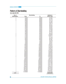### ANNUAL REPORT 2015

## Pattern of Shareholding

As on June 30, 2015

| No. of              | <b>Shareholding</b> |           | <b>Number of</b>   |  |
|---------------------|---------------------|-----------|--------------------|--|
| <b>Shareholders</b> | <b>From</b>         | <b>To</b> | <b>Shares Held</b> |  |
| $\mathbf 2$         | 235001              | 240000    | 474,960            |  |
| $\overline{c}$      | 250001              | 255000    | 501,576            |  |
| $\overline{2}$      | 255001              | 260000    | 513,178            |  |
| 1                   | 275001              | 280000    | 277,455            |  |
| 1                   | 320001              | 325000    | 325,000            |  |
| $\mathbf 1$         | 335001              | 340000    | 339,114            |  |
| 1                   | 345001              | 350000    | 347,617            |  |
| 1                   | 360001              | 365000    | 365,000            |  |
| 1                   | 370001              | 375000    | 370,307            |  |
| 1                   | 400001              | 405000    | 400,945            |  |
| 1                   | 415001              | 420000    | 415,008            |  |
| 1                   | 420001              | 425000    | 421,500            |  |
| 1                   | 440001              | 445000    | 444,483            |  |
| $\mathbf 1$         | 470001              | 475000    | 471,316            |  |
| $\overline{2}$      | 495001              | 500000    | 996,320            |  |
| $\overline{c}$      | 510001              | 515000    | 1,026,626          |  |
| $\mathbf 2$         | 515001              | 520000    | 1,036,717          |  |
| 1                   | 610001              | 615000    | 611,165            |  |
| $\mathbf 1$         | 620001              | 625000    | 622,764            |  |
| 1                   | 625001              | 630000    | 627,867            |  |
| 1                   | 705001              | 710000    | 705,758            |  |
| 1                   | 725001              | 730000    | 728,272            |  |
| 1                   | 740001              | 745000    | 742,521            |  |
| 1                   | 935001              | 940000    | 938,751            |  |
| 1                   | 1090001             | 1095000   | 1,094,387          |  |
| 1                   | 1155001             | 1160000   | 1,156,818          |  |
| 1                   | 1200001             | 1205000   | 1,204,498          |  |
| 1                   | 1795001             | 1800000   | 1,798,515          |  |
| 1                   | 1975001             | 1980000   | 1,979,000          |  |
| 1                   | 2275001             | 2280000   | 2,275,058          |  |
| 1                   | 2365001             | 2370000   | 2,368,863          |  |
| 1                   | 2385001             | 2390000   | 2,386,558          |  |
| 1                   | 2600001             | 2605000   | 2,603,493          |  |
| $\mathbf 1$         | 6090001             | 6095000   | 6,094,000          |  |
| $\overline{c}$      | 6825001             | 6830000   | 13,655,909         |  |
| $\mathbf 1$         | 7120001             | 7125000   | 7,124,400          |  |
| 1                   | 7940001             | 7945000   | 7,940,436          |  |
| 1                   | 8940001             | 8945000   | 8,941,424          |  |
| 1                   | 10450001            | 10455000  | 10,452,326         |  |
| 1                   | 10525001            | 10530000  | 10,527,528         |  |
| 1                   | 12015001            | 12020000  | 12,017,906         |  |
| 1                   | 12250001            | 12255000  | 12,251,186         |  |
| 1                   | 12470001            | 12475000  | 12,471,730         |  |
| $\mathbf{1}$        | 12640001            | 12645000  | 12,644,702         |  |
| 1                   | 24375001            | 24380000  | 24,376,000         |  |
| 1                   | 30270001            | 30275000  | 30,270,424         |  |
| 1                   | 55710001            | 55715000  | 55,713,402         |  |
| 1                   | 81800001            | 81805000  | 81,803,991         |  |
|                     | 131445001           | 131450000 | 131,447,506        |  |
| 3,151               |                     |           | 498,009,959        |  |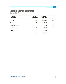## Categorial Pattern of Shareholding

As on June 30, 2015

| <b>Categories of</b><br><b>Shareholders</b> | Number of<br><b>Shareholders</b> | Number of<br><b>Shares held</b> | Percentage |
|---------------------------------------------|----------------------------------|---------------------------------|------------|
| <b>Individuals</b>                          | 3,096                            | 402,698,018                     | 80.86      |
| <b>Financial Institutions</b>               | 15                               | 1,371,496                       | 0.28       |
| Insurance Companies                         | 7                                | 294,704                         | 0.06       |
| Joint Stock Companies                       | 29                               | 92,287,679                      | 18.53      |
| <b>Others</b>                               | 4                                | 1,358,062                       | 0.27       |
| <b>Total</b>                                | 3,151                            | 498,009,959                     | 100        |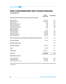# Pattern of Shareholding Under Code of Corporate Governance

As on June 30, 2015

|                                                                                | <b>Total</b><br><b>Share Held</b> | <b>Percentage</b> |
|--------------------------------------------------------------------------------|-----------------------------------|-------------------|
| Directors/Chief Executive Officer and their spouses and minor children         |                                   |                   |
| Mughis A. Sheikh                                                               | 19,470,012                        | 3.91              |
| Fareed Mughis Sheikh                                                           | 206,944,010                       | 41.55             |
| Muhammad Tariq                                                                 | 6,337                             | 0.00              |
| Muhammad Atta Ullah Khan                                                       | 1,000                             | 0.00              |
| Muhammad Ashraf Saif                                                           | 1,000                             | 0.00              |
| Abdul Hakeem Khan Qasuria                                                      | 1,000                             | 0.00              |
| Muhammad Ikram UI Haq                                                          | 1,000                             | 0.00              |
| Spouses / Children                                                             |                                   |                   |
| Mahnaz Fareed Sheikh                                                           | 74,347                            | 0.01              |
| Fozia Mughis Sheikh                                                            | 12,251,186                        | 2.46              |
| Ismail Fareed Sheikh                                                           | 40,797,952                        | 8.19              |
| Shahmeel Fareed Sheikh                                                         | 19,393,750                        | 3.89              |
| Nadine Fareed Sheikh                                                           | 3,309,251                         | 0.66              |
| Banks, Development Financial Institutions & Non-Banking Financial Institutions | 1,371,496                         | 0.28              |
| <b>Insurance Companies</b>                                                     | 294,704                           | 0.06              |
| <b>Modarabas &amp; Mutual Funds</b>                                            |                                   | 0.00              |
| <b>Joint Stock Companies</b>                                                   | 92,287,679                        | 18.53             |
| <b>Others</b>                                                                  | 1,358,062                         | 0.27              |
| <b>General Public</b>                                                          | 100,447,173                       | 20.17             |
| <b>Grand Total:</b>                                                            | 498,009,959                       | 100               |
| Shareholding 5% or above                                                       |                                   |                   |
| Fareed Mughis Sheikh                                                           | 206,944,010                       | 41.55             |
| <b>Ismail Fareed Sheikh</b>                                                    | 40,797,952                        | 8.19              |
| Landsend Securities (Pvt.) Ltd.                                                | 81,803,991                        | 16.43             |

No trade in the shares of the Company was carried out by the CEO, Directors, CFO, Company Secretary their spouses and minor children.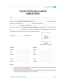### **COLONY TEXTILE MILLS LIMITED FORM OF PROXY**

|            | $\sigma$                                                                         |                   |                                                                                                                    |
|------------|----------------------------------------------------------------------------------|-------------------|--------------------------------------------------------------------------------------------------------------------|
|            |                                                                                  |                   | being a member of COLONY TEXTILE MILLS LIMITED and holder of _______________________________Ordinary Shares as per |
|            |                                                                                  |                   | Register Folio / CDC Participant No. __________________hereby appoint Mr./Mrs./Miss. _________________________     |
|            |                                                                                  |                   |                                                                                                                    |
|            |                                                                                  |                   | who is also a member of the COLONY TEXTILE MILLS LIMITED vide Registered Folio / CDC Participant I.D.              |
|            |                                                                                  |                   |                                                                                                                    |
|            | be held on Saturday, October 31, 2015 at 10.00 a.m. and any adjournment thereof. |                   |                                                                                                                    |
|            | Signature this ________________________day of October 2015.                      |                   | Revenue<br>stamp(s) of<br>Rupees five<br>Signature<br>(As registered with the company)                             |
| Witness: 1 |                                                                                  | <b>Witness: 2</b> |                                                                                                                    |
| Signature: |                                                                                  | Signature:        |                                                                                                                    |
| Name:      |                                                                                  | Name:             |                                                                                                                    |
| Address:   |                                                                                  | Address:          |                                                                                                                    |
| CNIC or    |                                                                                  | CNIC or           |                                                                                                                    |
| Passport#  |                                                                                  | Passport#         |                                                                                                                    |

### **NOTES:**

- This proxy form, duly completed and signed, must be received at the Registered Office of the company not less than 48 hours before the time of holding the Meeting.
- No person shall act as Proxy unless he/she himself / herself is a Shareholder of the Company except that a company may appoint a person as its representative who is not a shareholder.